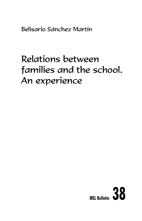Belisario Sánchez Martín

# Relations between families and the school. An experience

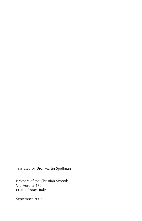Traslated by Bro. Martin Spellman

Brothers of the Christian Schools Via Aurelia 476 00165 Rome, Italy

September 2007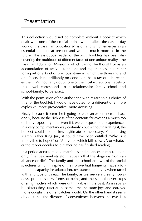This collection would not be complete without a booklet which dealt with one of the crucial points which affect the day to day work of the Lasallian Education Mission and which emerges as an essential element at present and will be much more so in the future. The assiduous reader of the MEL booklets has been discovering the multitude of different faces of one unique reality - the Lasallian Education Mission - which cannot be thought of as an accumulation of activities, actions and experiences, but rather form part of a kind of precious stone in which the thousand and one facets shine brilliantly on condition that a ray of light reaches them. Without any doubt, one of the most exceptional facets of this jewel corresponds to a relationship: family-school and school-family, to be exact.

With the permission of the author and with regard to his choice of title for the booklet, I would have opted for a different one, more explosive, more provocative, more accusing.

Firstly, because it seems he is going to relate an experience and secondly, because the richness of the contents far exceeds a much too ordinary expository title. Even if it were to speak of an experience in a very complimentary way certainly - but without narrating it, the booklet could not be less legitimate or necessary. Paraphrasing Martin Luther King Jnr., it could have been entitled "Why is it impossible to hope?" or "A divorce which kills slowly", or whatever the reader decides to put after he has finished reading…

In a period accustomed to marriages and alliances in macro-economy, finances, markets etc. it appears that the slogan is "form an alliance or die". The family and the school are two of the social structures which, in spite of their proverbial longevity, have a formidable capacity for adaptation, resistance, creativity when faced with any type of threat. The family, as we see very clearly nowadays, produces new forms of being and the school never stops offering models which were unthinkable in the past. As inseparable sisters they suffer at the same time the same joys and sorrows. If one coughs the other catches a cold. On the other hand it seems obvious that the divorce of convenience between the two is a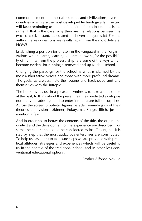common element in almost all cultures and civilizations, even in countries which are the most developed technologically. The text will keep reminding us that the final aim of both institutions is the same. If that is the case, why then are the relations between the two so cold, distant, calculated and even antagonistic? For the author the key questions are results, apart from the most delicate: HOW?

Establishing a position for oneself in the vanguard in the "organizations which learn", learning to learn, allowing for the possibility of humility from the professorship, are some of the keys which become evident for running a renewed and up-to-date school.

Changing the paradigm of the school is what is claimed by the most authoritative voices and those with more profound dreams. The gods, as always, hate the routine and hackneyed and ally themselves with the intrepid.

The book invites us, in a pleasant synthesis, to take a quick look at the past, to think about the present realities predicted as utopias not many decades ago and to enter into a future full of surprises. Across the screen prophetic figures parade, reminding us of their theories and visions: Skinner, Fukuyama, Senge, Illich, just to mention a few.

And in order not to betray the contents of the title, the origin, the context and the development of the experience are described. For some the experience could be considered as insufficient, but it is step by step that the most audacious enterprises are constructed. To help us Lasallians to take sure steps we are provided with practical attitudes, strategies and experiences which will be useful to us in the context of the traditional school and in other less conventional educational options.

Brother Alfonso Novillo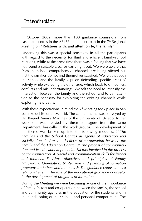In October 2002, more than 100 guidance counselors from Lasallian centres in the ARLEP region took part in the  $7<sup>th</sup>$  Regional Meeting on **"Relations with, and attention to, the family"**.

Underlying this was a special sensitivity in all the participants with regard to the necessity for fluid and efficient family-school relations, while at the same time there was a feeling that we have not found a suitable area for carrying it out. We were aware that from the school comprehensive channels are being offered but that the families do not find themselves satisfied. We felt that both the school and the family kept on defending specific areas of activity while excluding the other side, which leads to difficulties, conflicts and misunderstandings. We felt the need to intensify the interaction between the family and the school and to call attention to the necessity for exploiting the existing channels while exploring new paths.

With these expectations in mind the  $7<sup>th</sup>$  Meeting took place in San Lorenzo del Escorial, Madrid. The central theme was conveyed by Dr. Raquel Amaya Martínez of the University of Oviedo. In her work she was assisted by three colleagues from the same Department, basically in the work groups. The development of the theme was broken up into the following modules: *1o The Families and the School Centres as agents of education and socialization. 2o Areas and effects of co-operation between the* Family and the Education Centre. <sup>3°</sup> The process of communica*tion and its educational potential. Factors involved in the process of communication. 4o Social and communication skills for fathers and mothers. 5o Aims, objectives and principles of Family Educational Orientation. 6o Revision and planning of formation programs for fathers and mothers. 7o The guidance counselor as a relational agent. The role of the educational guidance counselor in the development of programs of formation*.

During the Meeting we were becoming aware of the importance of family factors and co-operation between the family, the school and community agencies in the education of the students and in the conditioning of their school and personal comportment. The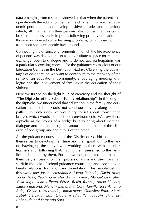data emerging from research showed us that when the parents cooperate with the education centre, the children improve their academic performance and develop positive attitudes and behaviour which, all in all, enrich their persons. We noticed that this could be seen more obviously in pupils following primary education, in those who showed some learning problems, or in those coming from poor socio-economic backgrounds.

Connecting the distinct environments in which the life experience of persons was developing so as to constitute a space for multiple exchange, open to dialogue and to democratic participation was a particularly exciting concept for the guidance counselors of our Education Centres in the District of Madrid. Observing the advantages of co-operation we want to contribute to the recovery of the sense of an educational community, encouraging meeting, dialogue and the involvement of families in the education of their children.

Here we turned on the light bulb of creativity and we thought of **"The Diptychs of the School-Family relationship"**. In thinking of the diptychs, we understood that education in the family and education in the school could not continue moving along parallel paths. On both sides we would try to set about constructing bridges which would connect both environments. We saw these diptychs as the stones of a bridge built to bring about meeting, dialogue and reflection together about the education of the children of one group and the pupils of the other.

All the guidance counselors of the District of Madrid committed themselves to devoting their time and their good will to the task of drawing up the diptychs, of working on them with the class teachers and, following that, having them presented to the families and studied by them. For this we congratulated and thanked them very sincerely for their professionalism and their Lasallian spirit in the field of school guidance counseling and especially in family relations, formation and orientation. The people behind this work are: *Justino Hernández, Marta Peinado, David Arias, Lucía Pérez, Pepita González, Faina Toledo, Manuel González, Yeya Jorge, Juan Alberto Pérez, Belén Riesco, Adela Vilches, Laura Villacorta, Mariam Zambrana, Coral Revilla, José Antonio Ruiz, Óscar J. Hernando, Inmaculada González-Pola, María Isabel Delgado, Luis García Mediavilla, Joaquín Sánchez-Cabezudo and Fernando Soto*.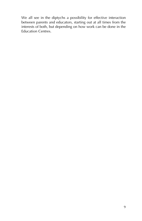We all see in the diptychs a possibility for effective interaction between parents and educators, starting out at all times from the interests of both, but depending on how work can be done in the Education Centres.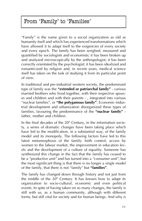### From 'Family' to 'Families'

"Family" is the name given to a social organization as old as humanity itself and which has experienced transformations which have allowed it to adapt itself to the exigencies of every society and every epoch. The family has been weighed, measured and quantified by sociologists and economists; it has been broken up and analyzed microscopically by the anthropologist; it has been correctly orientated by the psychologist; it has been idealized and romanticized by religion and, in recent years, medical science itself has taken on the task of studying it from its particular point of view.

In traditional and pre-industrial western society, the predominant type of family was the **"extended or patriarchal family"** - various married brothers who lived together, with their respective spouses and children and with their parents - , integrated into various "nuclear families", or **"the polygamous family"**. Economic-industrial development and urbanization disorganized these types of families, favouring the predominance of the **"nuclear family"** father, mother and children.

In the final decades of the  $20<sup>th</sup>$  Century, in the information society, a series of dramatic changes have been taking place which have led to the modification, in a substantial way, of the family model and its monopoly. The following factors have led to this latest metamorphosis of the family: birth control, access by women to the labour market, the improvement in education levels and the development of a culture of equality. Someone has synthesized this change in the fact that the family has ceased to be a *"productive unit"* and has turned into a *"consumer unit"*, but the most significant thing is that there is no longer a single model of the family, that there is not "family" but **"families"**.

The family has changed down through history and not just from the middle of the  $20<sup>th</sup>$  Century. It has known how to adapt its organization to socio-cultural, economic and even political events. In spite of having taken on so many changes, the family is still with us, as a human community, although with different forms, but still vital for society and for human beings. And why is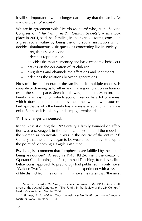it still so important if we no longer dare to say that the family *"is the basic cell of society"?*

We are in agreement with Ricardo Montoro<sup>1</sup> who, at the Second Congress on *"The Family in 21st Century Society"*, which took place in 2004, said that families, in their various forms, constitute a great social value by being the only social institution which decides simultaneously six questions concerning life in society:

- It regulates sexual conduct
- It decides reproduction
- It decides the most elementary and basic economic behaviour
- It takes on the education of its children
- It regulates and channels the affections and sentiments
- It decides the relations between generations.

No social institution except the family, in its multiple models, is capable of drawing us together and making us function in harmony in the same space. Seen in this way, continues Montoro, the family is an institution which economizes quite a lot of means, which does a lot and at the same time, with few resources. Perhaps that is why the family has always existed and will always exist. Because it is, plainly and simply, irreplaceable.

#### **1o The changes announced.**

In the west, if during the  $19<sup>th</sup>$  Century a family founded on affection was encouraged, in the patriarchal system and the model of the woman as housewife, it was in the course of the entire  $20<sup>th</sup>$ Century that the family began to be weakened little by little, up to the point of becoming a fragile institution.

Psychologists comment that "prophecies are fulfilled by the fact of being announced". Already in 1945, B.F.Skinner<sup>2</sup>, the creator of Operant Conditioning and Programmed Teaching, from his radical behaviourist approach to psychology had published his only novel "Walden Two", an entire Utopia built to experiment with a system of life distinct from the normal. In his novel he states that "the most

<sup>&</sup>lt;sup>1</sup> Montoro, Ricardo, *The family in its evolution towards the 21<sup>st</sup> Century*, a talk given at the Second Congress on "The Family in the Society of the  $21<sup>*</sup>$  Century", Madrid-Valencia and Seville, 2004.

<sup>2</sup> Skinner, B. F. *Walden Two, towards a scientifically constructed society*. Martínez Roca Barcelona, 1984.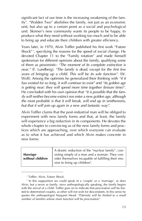significant fact of our time is the increasing weakening of the family". "Walden Two" abolishes the family, not just as an economic unit, but also up to a certain point as a social and psychological unit. Skinner's new community wants its people to be happy, to produce what they need without working too much and to be able to bring up and educate their children with greater efficiency.

Years later, in 1970, Alvin Toffler published his first work "Future Shock" <sup>3</sup> , specifying the reasons for the speed of social change. He devoted Chapter 11 to the "Family rotation" and made himself spokesman for different opinions about the family, qualifying some of them as pessimistic: *"The moment of its complete extinction is near."* (F. Lundberg); *"The family is dead, except for the first few years of bringing up a child. This will be its sole function".* (W. Wolf). Among the optimists he generalized their thinking with *"if it has existed for so long, it will continue to exist"* and *"its golden age is getting near: they will spend more time together (leisure time)"*. He concluded with his own opinion that *"it is possible that the family will neither become extinct nor enter a new golden age, although the most probable is that it will break, will end up in smithereens, but that it will join up again in a new and fantastic way"*.

Alvin Toffler claims that the post-industrial man will be obliged to experiment with new family forms and that, at least, the family will experience a big reduction in its components. He devotes the whole chapter to convincing us of the new family forms and practices which are approaching, over which everyone can evaluate as to what it has achieved and which Alvin makes concrete in new forms:

| A drastic reduction of the "nuclear family", con-<br>sisting simply of a man and a woman. They con-<br>sider themselves incapable of fulfilling their mis-<br>sion to bring up children <sup>4</sup> . |
|--------------------------------------------------------------------------------------------------------------------------------------------------------------------------------------------------------|
|                                                                                                                                                                                                        |
|                                                                                                                                                                                                        |

<sup>3</sup> Toffler, Alvin, *Future Shock*.

<sup>4</sup> In this supposition we could speak of a 'couple' or a 'marriage', as does Alvin, but a never as family, since anthropologically speaking, the family begins with the arrival of a child. Toffler goes on to indicate that procreation will be limited to determined couples, as other will not wish for descendants. In this sense he quotes the anthropologist Margaret Mead: *"Paternity will be limited to a small number of families whose main function will be procreation"*.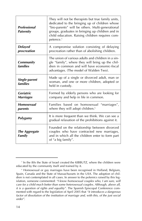| <b>Professional</b><br><b>Paternity</b> | They will not be therapists but true family units,<br>dedicated to the bringing up of children whose<br>"bio-parents" will be others. Multi-generational<br>groups, graduates in bringing up children and in<br>child education. Raising children requires com-<br>petence. <sup>5</sup> |
|-----------------------------------------|------------------------------------------------------------------------------------------------------------------------------------------------------------------------------------------------------------------------------------------------------------------------------------------|
| <b>Delayed</b><br>procreation           | A compromise solution consisting of delaying<br>procreation rather than of abolishing children.                                                                                                                                                                                          |
| <b>Community</b><br>families            | The union of various adults and children in a sin-<br>gle "family", where they will bring up the chil-<br>dren in common and will have economic-fiscal<br>advantages. (The model of Walden Two).                                                                                         |
| Single-parent<br>families               | Made up of a single or divorced adult, man or<br>woman, and one or more children, adopted or<br>held in custody.                                                                                                                                                                         |
| <b>Geriatric</b><br><b>Marriages</b>    | Formed by elderly persons who are looking for<br>company and help in life in common.                                                                                                                                                                                                     |
| Homosexual<br>parents                   | Families based on homosexual "marriages",<br>where they will adopt children. <sup>6</sup>                                                                                                                                                                                                |
| Polygamy                                | It is more frequent than we think. We can see a<br>gradual relaxation of the prohibitions against it.                                                                                                                                                                                    |
| <b>The Aggregate</b><br>Family          | Founded on the relationship between divorced<br>couples who have contracted new marriages,<br>and in which all the children enter to form part<br>of "a big family".                                                                                                                     |

<sup>&</sup>lt;sup>5</sup> In the 80s the State of Israel created the KIBBUTZ, where the children were educated by the community itself and trained by it.

<sup>6</sup> Homosexual or gay marriages have been recognised in Holland, Belgium, Spain, Canada and the State of Massachussets in the USA. The adoption of children is not contemplated in all cases. In answer to the polemics raised by this legislation, someone commented: *"I know homosexual couples who, I am sure, will care for a child much better than some heterosexual couples. Although, above all, it is a question of rights and equality"*. The Spanish Episcopal Conference commented with regard to the legislation of April 2005 that *"it introduces a dangerous factor of dissolution of the institution of marriage and, with this, of the just social order"*.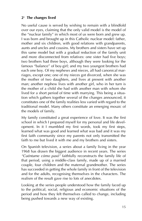#### **2o The changes lived**

No useful cause is served by wishing to remain with a blindfold over our eyes, claiming that the only valid model is the model of the "nuclear family" in which most of us were born and grew up. I was born and brought up in this Catholic nuclear model: father, mother and six children, with good relations with grandparents, aunts and uncles and cousins. My brothers and sisters have set up this same model but with a gradual reduction of the family unit and more disconnected from relatives: one sister had five boys; two brothers had three boys, although they were looking for the famous "balance" of boy-girl; and my two youngest brothers had each one boy. Of my nephews and nieces, all had canonical marriages, except one; one of my nieces got divorced, when she was the mother of two daughters, and lives at present with another man; another nephew lives with another girl, who in her turn is the mother of a child she had with another man with whom she lived for a short period of time with marrying. This being a situation which gathers together several of the changes announced, it constitutes one of the family realities less varied with regard to the traditional model. Many others constitute an emerging mosaic of the models of family.

My family constituted a great experience of love. It was the first school in which I prepared myself for my personal and life development. In it I mumbled my first words, took my first steps, learned what was good and learned what was bad and it was my first faith community since my parents not only transmitted the faith to me but lived it with me and my brothers and sisters.

On Spanish television, a series about a family living in the year 1968 has drawn the biggest audience in recent years. The series *"Cuéntame cómo pasó"* faithfully reconstructs the family life of that period, using a middle-class family, made up of a married couple, four children and the maternal grandmother. The series has succeeded in getting the whole family in front of the television and for the adults, recognising themselves in the characters. The realism of the result gave rise to lots of anecdotes.

Looking at the series people understood how the family faced up to the political, social, religious and economic situations of the period and how they felt themselves called to change, including being pushed towards a new way of existing.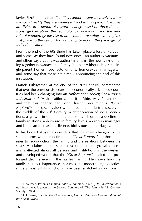Javier Elzo7 claims that *"families cannot absent themselves from the social reality they are immersed"* and in his opinion *"families are living in a period of historic change based on three dimensions: globalization, the technological revolution and the new role of women, giving rise to an evolution of values which gives first place to the search for wellbeing based on the paradigm of individualization."*

From the end of the 60s there has taken place a loss of values and some say they have found new ones - an authority vacuum and others say that this was authoritarianism - the new ways of living together nowadays in a family (couples without children, single-parent homes, ipso-facto unions, homosexual marriages…) and some say that these are simply announcing the end of this institution.

Francis Fukuyama $^{\circ}$ , at the end of the 20<sup>th</sup> Century, commented that over the previous 50 years, the economically advanced countries had been changing into an *"information society"* or a *"postindustrial era"* (Alvin Toffler called it a "third wave" transition) and that this change had been drastic, presuming a *"Great Rupture"* of the social values which had ruled industrial society of the middle of the  $20<sup>th</sup>$  Century: a deterioration of social conditions, a growth in delinquency and social disorder, a decline in family relations, a decrease in fertility levels, a drop in marriages and births an increase in divorce, births outside marriage…

In his book Fukuyama considers that the main changes to the social norms which constitute the *"Great Rupture"* are those that refer to reproduction, the family and the relations between the sexes. He claims that the sexual revolution and the growth of feminism affected almost all persons and institutions in the western and developed world, that the *"Great Rupture"* has led to a prolonged decline even in the nuclear family. He shows how the family has lost importance in almost all modernizing societies, since almost all its functions have been snatched away from it,

<sup>7</sup> Elzo Imaz, Javier, *La familia, entre la añoranza estéril y las incertidumbres del futuro*, A talk given at the Second Congress of "The Family in 21<sup>st</sup> Century Society", 2004.

<sup>8</sup> Fukuyama, Francis, *The Great Rupture, Human Nature and the rebuilding of the Social Order*.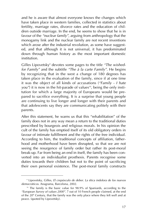and he is aware that almost everyone knows the changes which have taken place in western families, collected in statistics about fertility, marriage rates, divorce rates and the education of children outside marriage. In the end, he seems to show that he is in favour of the *"nuclear family"*, arguing from anthropology that the monogamy link and the nuclear family are not recent inventions which arose after the industrial revolution, as some have suggested, and that although it is not universal, it has predominated down through human history as the most important domestic institution.

Gilles Lipovetsky<sup>9</sup> devotes some pages to the title "The wished*for Family"* and the subtitle *"The à la carte Family"*. He begins by recognizing that in the west a change of 180 degrees has taken place in the evaluation of the family, since if at one time it was the object of all kinds of accusations (*"Family - I hate you"*) it is now in the hit-parade of values<sup>10</sup>, being the only institution for which a large majority of Europeans would be prepared to sacrifice everything. It is a surprise that young people are continuing to live longer and longer with their parents and that adolescents say they are communicating politely with their parents.

After this statement, he warns us that this "rehabilitation" of the family does not in any way mean a return to the traditional duties prescribed by bourgeois and religious morals. In his opinion the cult of the family has emptied itself of its old obligatory orders in favour of intimate fulfillment and the rights of the free individual. According to him, the traditional concepts of affiliation, fatherhood and motherhood have been disrupted, so that we are not seeing the resurgence of family order but rather its post-moral break-up. Far from being an end in itself, the family has been converted into an individualist prosthesis. Parents recognise some duties towards their children but not to the point of sacrificing their own personal existence. The post-moral family constructs

<sup>9</sup> Lipovetsky, Gilles, *El crepúsculo de deber. La ética indolora de los nuevos democráticos*. Anagrama, Barcelona, 2002.

<sup>&</sup>lt;sup>10</sup> The family is the basic value for  $98.9\%$  of Spaniards, according to the *"European Survey of values 2000"*. 7 out of 10 French people claimed, at the end of the  $20<sup>th</sup>$  Century, that the family was the only place where they felt well and at peace. (quoted by Lipovetsky).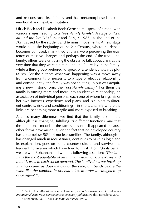and re-constructs itself freely and has metamorphosed into an emotional and flexible institution.

Ulrich Beck and Elisabeth Beck-Gernsheim<sup>11</sup> speak of a road, with various stages, leading to a *"post-family family"*. A stage of *"war around the family"* (Berger and Berger, 1983), at the end of the 70s, caused by the student and feminist movements. A new stage would be at the beginning of the  $21<sup>st</sup>$  Century, where the debate becomes confused: many theoreticians were perceiving the existence of massive changes and perhaps the end of the traditional family, others were criticizing the obsessive talk about crisis at the very time that they were claiming that the future lay in the family, while a third group preferred to speak of a tendency towards pluralism. For the authors what was happening was a move away from a community of necessity to a type of elective relationship and consequently, the family was not splitting up but was acquiring a new historic form: the *"post-family family"*. For them the family is turning more and more into an elective relationship, an association of individual persons, each one of whom brings his or her own interests, experience and plans, and is subject to different controls, risks and conditionings - in short, a family where the links are becoming more fragile and more exposed to breaking.

After so many dilemmas, we find that the family is still here although it is changing, fulfilling its different functions, and that the traditional model of the family has not disappeared because other forms have arisen, given the fact that no developed country has gone below 50% of nuclear families. The family, although it has changed much in recent times, continues to have its logic and its explanation, goes on being counter-cultural and survives the frequent hurricanes which have tried to finish it off. On its behalf we are with Bohannan and with his following assertion: *"The family is the most adaptable of all human institutions: it evolves and moulds itself to each social demand. The family does not break up in a hurricane, as does the oak or the pine, but bends before the wind like the bamboo in oriental tales, in order to straighten up* once again<sup>"12</sup>.

<sup>11</sup> Beck, Ulrich/Beck-Gernsheim, Elisabeth, *La individualización. El individuo institucionalizado y sus consecuencias sociales y políticas*, Paidos, Barcelona, 2003.

<sup>12</sup> Bohannan, Paul, *Todas las familias felices*, 1985.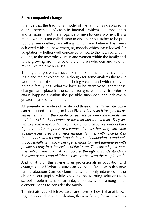#### **3o Accompanied changes**

It is true that the traditional model of the family has displayed in a large percentage of cases its internal problems, its imbalances and tensions, if not the arrogance of men towards women. It is a model which is not called upon to disappear but rather to be profoundly remodelled, something which we believe has been achieved with the new emerging models which have looked for adaptation, whether well-conceived or not, to the new social conditions, to the new roles of men and women within the family and to the growing prominence of the children who demand autonomy to live their own values.

The big changes which have taken place in the family have their logic and their explanation, although for some analysts the result would be that of some families being weaker and with more vulnerable family ties. What we have to be attentive to is that these changes take place in the search for greater liberty, in order to attain happiness within the possible time-span and achieve a greater degree of well-being.

All present-day models of family and those of the immediate future can be defined according to Javier Elzo as *"the search for agreement. Agreement within the couple, agreement between intra-family life and the social advancement of the man and the woman. They are families with tensions, families in search of themselves without having any models as points of reference, families breaking with what already exists, creators of new moulds, families with uncertainties but the ones which come through the test of adaptation to modernity successfully will allow new generations to insert themselves with greater security into the society of the future. They are adaptive families which run the risk of rupture through misunderstandings between parents and children as well as between the couple itself."*

And what is all this saying to us professionals in education and evangelization? What posture can we adopt faced with this new family situation? Can we claim that we are only interested in the children, our pupils, while knowing that to bring solutions to a school problem calls for an integral focus, which among other elements needs to consider the family?

The **first attitude** which we Lasallians have to show is that of knowing, understanding and evaluating the new family forms as well as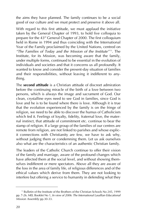the aims they have planned. The family continues to be a social good of our culture and we must protect and preserve it above all.

With regard to this first attitude, we must applaud the initiative taken by the General Chapter of 1993, to hold five colloquia to prepare for the 43rd General Chapter of 2000. The first colloquium held in Rome in 1994 and thus coinciding with the International Year of the Family proclaimed by the United Nations, centred on *"The Families of Today and the Mission of the Institute"*<sup>13</sup>. The Institute, for its Mission, was becoming aware that the family, under multiple forms, continued to be essential in the evolution of individuals and societies and that it concerns us all profoundly. It wanted to know and consider the present-day situation of families and their responsibilities, without leaving it indifferent to anything.

The **second attitude** is a Christian attitude of discreet admiration before the continuing miracle of the birth of a love between two persons, which is always the image and sacrament of God. Our clean, crystalline eyes need to see God in families, since God is love and he is to be found where there is love. Although it is true that the evolution experienced by the family is on the fringe of religion, we need to be able to discover the humus of Catholicism which fed it. Feelings of loyalty, fidelity, fraternal love, the maternal instinct, that attitude of commitment etc. continue to bear the stamp of religion. If a large group of the families of our centres are remote from religion, are not linked to parishes and whose explicit connections with Christianity are few, we have to ask why, without judging them or condemning them. Let us ask ourselves also what are the characteristics of an authentic Christian family.

The leaders of the Catholic Church continue to offer their vision of the family and marriage, aware of the profound changes which have affected them at the social level, and without showing themselves indifferent or mere spectators. Above all they are aware of the loss in the area of family life, of religious differences and of the ethical values which derive from them. They are not looking to interfere but offering a service to humanity in defending what they

<sup>&</sup>lt;sup>13</sup> Bulletin of the Institute of the Brothers of the Christian Schools No 245, 1999 pp. 7-26. MEL Booklet No 1, *In view of 2006: The International Lasallian Educational Mission Assembly* pp.30-33.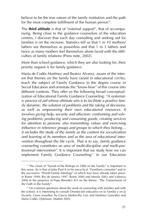believe to be the true nature of the family institution and the path for the most complete fulfillment of the human person $14$ .

The **third attitude** is that of "external support", that of accompanying. Being close to the guidance counselors of the education centres, I discover that each day consulting and seeking aid for families is on the increase. Statistics tell us that 1 in 10 mothers/ fathers see themselves as powerless and that 1 in 3 fathers and twice as many mothers feel themselves alone faced with the difficulties of family relations (Press note, 2002).

More than school guidance, which they are also looking for, their priority request is for family guidance.

María de Codés Martínez and Beatriz Alvarez, aware of the interest that themes on the family have raised in educational circles, teach the subject of Family Guidance in the degree course in Social Education and orientate the "know-how" of this course into different contexts. They offer us the following broad conceptualization of Educational Family Guidance Counseling: *"A systematic process of aid whose ultimate aim is to facilitate a positive family dynamic, the solution of problems and the taking of decisions, as well as empowering their own educational resources. It involves giving help, security and affection; confronting and solving problems; producing and consuming goods, creating services for attention to persons; also transmitting values and exercising influence in reference groups and groups to which they belong… it includes the study of the family as the context for socialization and learning of its members and as the area of educational intervention throughout the life cycle. That is to say, family guidance counseling constitutes an area of multi-discipline and multi-professional intervention"*. It is important that we study how we can implement Family Guidance Counseling<sup>15</sup> in our Education

<sup>&</sup>lt;sup>14</sup> The vision of "Synod of the Bishops in 1980 on the Family" is important in this sense. So is that of John Paul II in his encyclical *"Familiaris consortio"* and in the successive *"World Family Meetings"* of which four have already taken place: in Rome 1994, Rio de Janeiro 1997, Rome 2000 and Manila 2003 and Valencia 2006 in the presence of Pope Benedict XVI on the theme: *"The Transmission of the Faith in the Family"*.

<sup>&</sup>lt;sup>15</sup> On common questions about the work of counseling with families and with the school, it is interesting to consult *Orientación educative en la Familia y en la Escuela. Casos resueltos*, by Garcia Mediavilla, Luis and Martínez González and María Codés. Dykinson, Madrid 2003.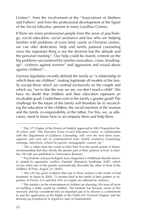Centres<sup>16</sup>, from the involvement of the "Associations of Mothers and Fathers" and from the professional development of the figure of the Social Educator, present in many Lasallian Centres.

If there are many professional people from the areas of psychology, social education. social assistance and law who are helping families with problems of every kind, surely as Christian centres, we can offer dedication, help and family pastoral counseling since the important thing is not the doctrine but the attitude and the personal meeting<sup>17</sup>. Our help could be mainly centred on the big problems encountered by families nowadays: crises, breaking $up^{18}$ , violence against women<sup>19</sup> and aggression and sexual abuse against children<sup>20</sup>...

German legislation recently defined the family as *"a relationship in which there are children"*, making legitimate all models of the family except those which are centred exclusively on the couple and which say *"we're fine the way we are, we don't need a child"*. We have no doubt that children and their education represent an invaluable good. Could there exist in the family a greater good? The challenge for the future of the family will therefore be in reconciling the education of the children, the social insertion of the woman and the family co-responsibility of the father. For this, we, as educators, need to know how to accompany them and help them.

<sup>&</sup>lt;sup>16</sup> The 12<sup>th</sup> Chapter of the District of Madrid, approved in 2001 Proposition No. 20 which said: *"The Direction Team of each Education Centre, in collaboration with the Department of Guidance Counseling, will, over the next three years, organize and carry out in contextualized form, Family Guidance Counseling: meetings, interviews, school for parents, monographic courses, etc."*

 $17$  This is taken from the words of John Paul II to the parish priests of Rome, recommending that they devote the greater part of their pastoral activity to families. His talk was published in *Osservatore Romano*.

<sup>&</sup>lt;sup>18</sup> Psychiatrists and psychologists have diagnosed a childhood disorder directly related to separation conflict: Parental Alienation Syndrome (SAP), which occurs when one of the parents systematically discredits the other in front of the children. (El País, August 22<sup>nd</sup> 2005).

 $19$  The UN has given evidence that one in three women is the victim of bad treatment. In Spain in 2004, 72 women died at the hands of their partner or expartner. In France it is said that 10% of couples are affected by violence.

 $20$  The statistics on the mistreatment of children are alarming. We must all insist on building a better world for children. The Institute has become aware of this necessity and has considered that an important pat of its mission is commitment to and the application of the Rights of the Child  $(43<sup>rd</sup>$  General Chapter) and the drawing up of protocols in regard to cases of mistreatment.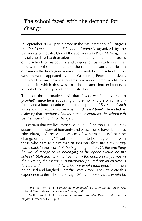## The school faced with the demand for change

In September 2004 I participated in the *"4th International Congress on the Management of Education Centres"*, organized by the University of Deusto. One of the speakers was Peter M. Senge . In his talk he dared to dramatize some of the organizational features of the schools of his country and to question us as to how similar they were to the components of the schools of our countries. In our minds the homogenization of the model of the school in the western world appeared evident. Of course, Peter emphasized, the world we are heading towards is a very different world from the one in which this western school came into existence, a school of modernity or of the industrial era.

Then, on the affirmative basis that *"every teacher has to be a prophet"*, since he is educating children for a future which is different and a future of adults, he dared to predict: *"The school such as we know it will no longer exist in 50 years' time"*. He ended by claiming that *"perhaps of all the social institutions, the school will be the most difficult to change"*.

It is certain that we live immersed in one of the most critical transitions in the history of humanity and which some have defined as "the change of the value system of western society" or "the change of mentality"<sup>22</sup>, but it is difficult to be in agreement with those who dare to claim that *"if someone from the 19th Century came back to our world of the beginning of the 21<sup>st</sup>, the one thing he would recognize as belonging to his epoch would be the school". Stoll and Fink23 tell us that in the course of a journey in the Ukraine, their guide and interpreter pointed out an enormous factory and commented: "this factory would look good"* and then he paused and laughed… *"if this were 1965"*. They translate this experience to the school and say: *"Many of our schools would be*

<sup>22</sup> Harman, Willis, *El cambio de mentalidad. La promesa del siglo XXI*, Editorial Centro de estudios Ramón Areces, 2001.

<sup>23</sup> Stoll, L. and Fink D., *Para cambiar nuestras escuelas. Reunir la eficacia y la mejora*. Octaedro, 1999. p. 31.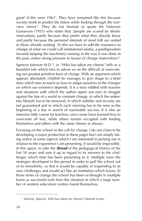*good 'if this were 1965'. They have remained like this because society tends to predict the future while looking through the rearview mirror"*. They do not hesitate to quote the historian Gustavson (1955) who states that *"people are scared by drastic innovations, partly because they prefer what they already know and partly because the personal interests of most folk are united to those already existing. To this we have to add the resistance to change of what we could call institutional inertia, a predisposition towards keeping the machinery running in the way it was done in the past, unless strong pressure in favour of change materializes"*.

Spencer Johnson M.D.24, in *"Who has taken my cheese"* tells us a beautiful tale which tries to advise us on the difficult of overcoming our greatest primitive fears of change. With an argument which appears absolutely childish he manages to give shape to a brief story which tries to teach us how to adapt ourselves to the changes on which our existence depends. It is a story riddled with maxims and situations with which the author opens our eyes to struggle against the fate of a world in constant change, in which the sedentary lifestyle has to be removed, in which stability and security are not guaranteed and in which each morning has to be seen as the beginning of a day in search of reasonable success. It is also an intensive little course for teachers, since some have learned how to overcome all fear, while others remain occupied with feeding themselves and others with the same cheese as always.

Focusing on the school in the call for change, I do not claim to be developing a major production in these pages but I am simply taking notice of some aspects which I am interested in picking out in relation to the experience I am presenting. It would be impossible, in this space, to take the *thread* of the pedagogical history of the last 50 years and sum it up in regard to its answers to the challenges which time has been presenting to it. Multiple were the strategies developed in this period in order to pull the school out of its immobility, so that it would be capable of responding to its own challenges and would act like an institution which learns. In those times of change the school has been re-thought in multiple forms as successful exits from the situation in which a large number of western education centres found themselves.

<sup>24</sup> Johnson, Spencer, *Who has taken my cheese?*, Editorial Urano.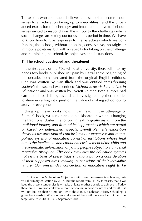Those of us who continue to believe in the school and commit ourselves to an education facing up to inequalities<sup>25</sup> and the unbalanced expansion of technology and information, have to feel ourselves invited to respond from the school to the challenges which social changes are setting out for us at this period in time. We have to know how to give responses to the paradoxes which are confronting the school, without adopting conservative, nostalgic or immobile positions, but with a capacity for taking on the challenge and re-thinking the school, its objectives and its functions.

#### **1o The school questioned and threatened**

In the first years of the 70s, while at university, there fell into my hands two books published in Spain by Barral at the beginning of the decade, both translated from the original English editions. One was written by Ivan Illich and was entitled *"Deschooling society"*; the second was entitled *"School is dead: Alternatives in Education"* and was written by Everett Reimer. Both authors had carried on broad dialogues and had investigated together, in order to share in calling into question the value of making school obligatory for everyone.

Picking up these books now, I can read in the title-page of Reimer's book, written on an old blackboard on which is hanging the traditional duster, the following text: *"Equally distant from the traditional idolatry and from critical approaches which are partial or based on determined aspects, Everett Reimer's exposition draws us towards radical conclusions: our expensive and mono polistic systems of education consist of institutions whose final aim is the intellectual and emotional enslavement of the child and the systematic deformation of young people subject to a universal repressive discipline. The book evaluates the education systems not on the basis of present-day situations but on a consideration of their supposed aims, making us conscious of their inevitable failure. Our present-day conception of education ought to be*

<sup>&</sup>lt;sup>25</sup> One of the Millennium Objectives with most consensus is achieving universal primary education by 2015, but the report from PNUD forecasts, that if we keep the present tendencies it will take at least another decade to achieve it. Today there are 110 million children without schooling in poor countries and by 2015 it will not be less than 47 million, 19 of those in sub-Saharan Africa. Schooling is going backwards in 43 countries and some of them will be forced to put back the target date to 2040. (El País, September 2005).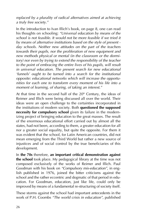*replaced by a plurality of radical alternatives aimed at achieving a truly free society."*

In the introduction to Ivan Illich's book, on page 8, one can read his thoughts on schooling: *"Universal education by means of the school is not feasible. It would not be more feasible if we tried it by means of alternative institutions based on the style of present day schools. Neither new attitudes on the part of the teachers towards their pupils, nor the proliferation of new equipment and new methods physical or mental (in the classroom or the dormitory) nor even by trying to extend the responsibility of the teacher to the point of embracing the entire lives of his pupils, will result in universal education. The present search for new educational 'funnels' ought to be turned into a search for the institutional opposite: educational networks which will increase the opportunities for each one to transform every moment of his life into a moment of learning, of sharing, of taking an interest."*

At that time in the second half of the  $20<sup>th</sup>$  Century, the ideas of Reimer and Illich were being discussed all over the world. Their ideas were an open challenge to the certainties incorporated in the institutions of modern society. Both **questioned the supposed necessity for compulsory school** given its failure in the modernizing project of bringing education to the great masses. The result of the enormous educational effort carried out by almost all the states, had not been, according to them, a greater education for all nor a greater social equality, but quite the opposite. For them it was evident that the school, for Latin American countries, did not mean emerging from the Third World but rather a new source of injustices and of social control by the true beneficiaries of this development.

In **the 70s** therefore, **an important critical demonstration against the school** took place. My pedagogical library at the time was not composed exclusively of the works of Reimer and Illich. Paul Goodman with his book on *"Compulsory mis-education"*, in english published in 1976, joined the bitter criticisms against the school and the rather eccentric and dogmatic of that period in education. For Goodman, education, just like life, could only be improved by means of a fundamental re-structuring of society itself.

These storms against the school had important antecedents in the work of P.H. Coombs *"The world crisis in education"*, published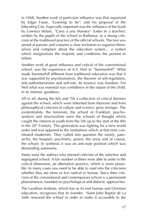in 1968. Another work of particular influence was that organized by Edgar Faure, *"Learning to be"*, and his proposal of the Educating City. Especially important was the influence of the book by Lorenzo Milani, *"Carta a una Maestra" (Letter to a teacher)*, written by the pupils of the school in Barbiana, as a strong criticism of the traditional practice of the official schools. The text was aimed at parents and contains a clear invitation to organize themselves and complain about the education system… a system which marginalizes the majority and condemns the poorest to failure.

Another work of great influence and critical of the conventional school, was the experience of A.S. Neil in *"Summerhill"*. What made Summerhill different from traditional education was that it was supported by psychoanalysis, the theories of self-regulation, anti-authoritarianism and self-rule. Its essence was freedom. For Neil what was essential was confidence in the nature of the child, in its intrinsic goodness.

All in all, during the 60s and 70s a collection of critical theories against the school, which were inherited from Marxism and from philosophical criticism of culture and science, grew stronger. The existentialists, the feminists, the school of Frankfurt, psychoanalysis and structuralism were the schools of thought which caught the interest of youth from the 50s up to the start of the 80s in the  $20<sup>th</sup>$  Century. This generation was fighting for a new world order and was opposed to the institutions which at that time constituted modernity. They called into question the family, patriarchy, the hospital, psychiatry, prison, the army and of course, the school. In synthesis it was an anti-state position which was demanding autonomy.

Many were the authors who stressed criticism of the selective and segregated school. A fair number of them were able to unite to the critical dimension, an alternative practice, which is more plausible. In many cases you need to be able to read into the criticisms whether they are more or less radical or furious. Since then criticism of the conventional and contemporary school is a permanent phenomenon, founded on psychological and didactic approaches.

The Lasallian Institute, which has as its end human and Christian education, recognizes that its founder, *"Saint John Baptist de La Salle renewed the school in order to make it accessible to the*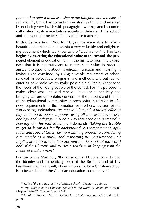*poor and to offer it to all as a sign of the Kingdom and a means of salvation"*26, but it has come to show itself as timid and reserved by not being very lavish with pedagogical writings and by continually silencing its voice before society in defence of the school and in favour of a better social esteem for teachers.

In that decade from 1960 to 70, yes, we were able to offer a beautiful educational text, within a very valuable and enlightening document which we know as the "Declaration" 27. This text **begins by asserting the educational value of the school**, the privileged element of education within the Institute, from the awareness that it is not sufficient to re-assert its value in order to answer the questions about its efficacy, function and meaning. It invites us to convince, by using a whole movement of school renewal in objectives, programs and methods, without fear of entering new paths which make possible a suitable response to the needs of the young people of the period. For this purpose, it makes clear what the said renewal involves: authenticity and bringing culture up to date; concern for the persons and the life of the educational community; in open spirit in relation to life; new requirements in the formation of teachers; revision of the works being undertaken. *"Its renewal demands a tireless effort to pay attention to persons, pupils, using all the resources of psychology and pedagogy in such a way that each one is treated in keeping with his individuality"*. It demands *"taking the trouble to get to know his family background, his temperament, aptitudes and special tastes, far from limiting oneself to considering him merely as a pupil, and respecting his performance". "It implies an effort to take into account the demands of the world and of the Church"* and to *"train teachers in keeping with the needs of modern man"*.

For José María Martínez, "the sense of the Declaration is to find the identity and authenticity both of the Brothers and of Lay Lasallians and, as a result, of our schools. To be a Christian school is to be a school of the Christian education community" 28.

<sup>26</sup> *Rule of the Brothers of the Christian Schools*, Chapter 1, point 3.

<sup>&</sup>lt;sup>27</sup> The Brother of the Christian Schools in the world of today, 39<sup>th</sup> General Chapter 1966-67, Chapter 8, pp. 65-84.

<sup>28</sup> Martínez Beltrán, J.M., *La Declaración, 30 años después*, CSV, Valladolid, p. 185.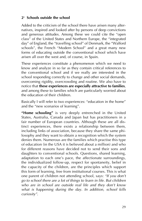#### **2o Schools outside the school**

Added to the criticism of the school there have arisen many alternatives, inspired and looked after by persons of deep convictions and generous attitudes. Among these we could cite the "open class" of the United States and Northern Europe, the "integrated day" of England, the "travelling school" of Denmark, the "Walford schools", the French "Modern School" and a great many new forms of educating outside the conventional school which have arisen all over the west and, of course, in Spain.

These experiences constitute a phenomenon which we need to know and analyze in so far as they contain critical references to the conventional school and if we really are interested in the school responding correctly to change and other social demands, overcoming rigidity, overcrowding and routine. We also have to notice that **these experiences are especially attractive to families**, and among these to families which are particularly worried about the education of their children.

Basically I will refer to two experiences: "education in the home" and the "new scenarios of learning".

**"Home schooling"** is very deeply entrenched in the United States, Australia, Canada and Japan but has practitioners in a fair number of European countries. Although these are all distinct experiences, there exists a relationship between them, including links of association, because they share the same philosophy and they want to obtain a recognition which the system denies them. Numerous are the families which practise this type of education (in the USA it is believed about a million) and who for different reasons have decided not to send their sons and daughters to conventional schools. Questions, shared learning, adaptation to each one's pace, the affectionate surroundings, the individualized follow-up, respect for spontaneity, belief in the capacity of the children, are the principles which support this form of learning, free from institutional courses. This is what one parent of children not attending school, says: *"If you don't go to school there are a lot of things to learn in life. But children who are in school are outside real life and they don't know what is happening during the day. In addition, school kills curiosity"*.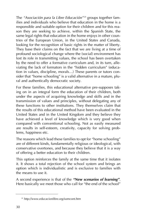The "Asociación para la Libre Educación"<sup>29</sup> groups together families and individuals who believe that education in the home is a responsible and suitable option for their children and for this reason they are seeking to achieve, within the Spanish State, the same legal rights that education in the home enjoys in other countries of the European Union, in the United States and Canada, looking for the recognition of basic rights in the matter of liberty. They base their claims on the fact that we are living at a time of profound sociological change where the (social) environment has lost its role in transmitting values, the school has been overtaken by the need to offer a formative curriculum and, in its turn, alleviating the lack of formators in the "hidden curriculum" (education in values, discipline, morals…) These parents or tutors consider that "home schooling" is a valid alternative in a mature, plural and authentically democratic society.

For these families, this educational alternative pre-supposes taking on in an integral form the education of their children, both under the aspects of acquiring knowledge and skills and in the transmission of values and principles, without delegating any of these functions to other institutions. They themselves claim that the results of this educational method have been evaluated in the United States and in the United Kingdom and they believe they have achieved a level of knowledge which is very good when compared with conventional schooling. Not as easily measured are results in self-esteem, creativity, capacity for solving problems, happiness etc.

The reasons which lead these families to opt for "home schooling" are of different kinds, fundamentally religious or ideological, with conservative overtones, and because they believe that it is a way of offering a better education to their children.

This option reinforces the family at the same time that it isolates it. It shows a total rejection of the school system and brings an option which is individualistic and is exclusive to families with the means to use it.

A second experience is that of the *"New scenarios of learning"*. Here basically we meet those who call for "the end of the school"

<sup>29</sup> *http://www.educacionlibre.org/somcont.htm*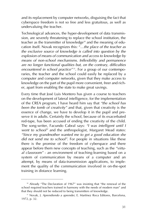and its replacement by computer networks, disguising the fact that cyberspace freedom is not so free and less gratuitous, as well as undervaluing the teacher.

Technological advances, the hyper-development of data transmission, are severely threatening to replace the school institution, the teacher as the transmitter of knowledge<sup>30</sup> and the meaning of education itself. Novak recognizes this: "…*the place of the teacher as the exclusive source of knowledge is called into question by the explosion of means of communication and access to knowledge by means of non-school mechanisms. Inflexibility and permanence are no longer functional qualities but, on the contrary, difficulties* encountered in school practice<sup>"31</sup>. For a group of our contemporaries, the teacher and the school could easily be replaced by a computer and computer networks, given that they make access to knowledge on the part of the pupil more convenient, freer and richer, apart from enabling the state to make great savings.

Every time that José Luis Montero has given a course to teachers on the development of lateral intelligence, for the implementation of the CREA program, I have heard him say that *"the school has been the tomb of creativity"* and that, given that creativity is the essence of change, we have to develop it in the pupil and preserve it in adults. Certainly the school, because of its exacerbated red-tape, has been accused of ending the creativity of the child. The song-writer, Facundo Cabral says: *"I was intelligent until I went to school"* and the anthropologist, Margaret Mead states: *"Since my grandmother wanted me to get a good education she did not send me to school"*. For people in situations like these there is the promise of the freedom of cyberspace and there appear before them new concepts of teaching, such as the *"virtual classroom"* - an environment of teaching-learning based on a system of communication by means of a computer and an attempt, by means of data-transmission applications, to implement the quality of the communication involved in on-the-spot training in distance learning.

<sup>&</sup>lt;sup>30</sup> Already "The Declaration of 1967" was insisting that "the renewal of the school required teachers trained in harmony with the needs of modern man" and that they should not be reduced to being transmitters of knowledge.

<sup>31</sup> Novak, J. *Aprendiendo a aprender*, E. Martínez Roca Editores, Barcelona, 1972, p. 32.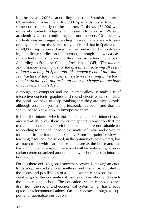In the year 2003, according to the Spanish Internet Observatory, more than 300,000 Spaniards were following some course of study on the internet. Of those, 150,000 were university students, a figure which seems to grow by 15% each academic year, on confirming that one in every 10 university students was no longer attending classes. In reference to secondary education, the same study indicated that in Spain a total of 48,000 pupils were doing their secondary and school-leaving certificate studies on the Internet, although this was a case of students with various difficulties in attending school. According to Francesc Canals, President of OEI, *"The Internet and distance-teaching are for the first time threatening all of traditional teaching in Spain and this tendency could turn into a real fracture of the management system of learning if the traditional structures do not make an effort to change the methods of acquiring knowledge"*.

Although the computer and the Internet allow us make use of interactive contents, graphics and sound effects which stimulate the pupil, we have to keep thinking that they are simply tools, although essential, just as the textbook has been, and that the school has to know how to incorporate them.

Behind the interest which the computer and the internet have aroused at all levels, there exists the general conviction that the traditional institutions, of bricks and cement, are not suitable for responding to the challenge in the matter of initial and on-going formation in the information society. From the point of view of teaching resources, the school, in the opinion of some writers, has as much to do with learning for the future as the horse and cart has with modern transport: the school will be replaced by an education centre organized around the new technologies in information and communication.

For this there exists a global movement which is making an effort to develop new educational methods and scenarios, adjusted to the needs and possibilities of a public which cannot or does not want to go to the conventional centres of formation and rejects the conventional school. The education system cannot distance itself from the social and economical system which has already opted for telecommunications. On the contrary, it ought to support and rationalize this option.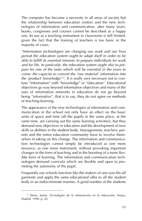The computer has become a necessity in all areas of society but the relationship between education centres and the new technologies of information and communication, after many years, books, congresses and courses cannot be described as a happy one. Its use as a teaching instrument in classrooms is still limited, given the fact that the training of teachers is too basic in the majority of cases.

*"Information technologies are changing our work and our lives period the education system ought to adapt itself in order to be able to fulfill its essential mission: to prepare individuals for work and for life. In particular, the education system ought also to prepare for one of the tasks which will be essential in the years to come: the capacity to convert the 'raw material' information into the 'product' knowledge*"<sup>32</sup>. It is really very necessary not to confuse "information" with "knowledge" or "education". Educational objectives go way beyond information objectives and many of the uses of information networks in education do not go beyond being "informative", that is to say, they do not agree on methods of teaching-learning.

The appearance of the new technologies of information and communication in the school not only have an effect on the basic units of space and time (all the pupils in the same place, at the same time, are carrying out the same learning activities), but they demand new objectives in education and the development of new skills or abilities in the student body. Managements, teachers, parents and the entire education community have to involve themselves in taking on this change. The information and communication technologies cannot simply be introduced as one more resource, as one more instrument, without provoking important changes in the form of teaching and in the boosting of a more flexible form of learning. The information and communication technologies demand curricula which are flexible and open to promoting the autonomy of the pupil.

Frequently our schools function like the makers of one-size-fits-all garments and apply the same educational offer to all the student body in an indiscriminate manner. A good number of the students

<sup>32</sup> Denis, Jaime, *Tecnologías de la información en la educación*, Anaya, Madrid, 1998. p. 20.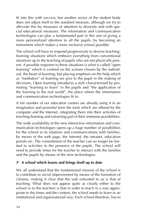fit into this with success, but another sector of the student body does not adjust itself to the standard measure, although we try to alleviate this by measures of attention to diversity and with special educational measures. The information and communication technologies can play a fundamental part in this aim of giving a more personalized attention to all the pupils, by becoming an instrument which makes a more inclusive school possible.

The school will have to respond progressively to diverse teachinglearning situations which embrace everything from conventional situations up to the teaching of pupils who are not physically present. A possible response to these situations is what is called "open learning" which is centred on the actions chosen by the individual, the heart of learning, but placing emphasis on the help which as "mediators" of learning we give to the pupil in the making of decisions. Open learning introduces a style characterized by promoting "learning to learn" in the pupils and "the application of the learning to the real world", the place where the information and communication technologies fit in.

A fair number of our education centres are already using it in an imaginative and powerful form the tools which are offered by the computer and the Internet, integrating them into their activities of teaching-learning and extracting part of their immense possibilities.

The wide availability of the new interactive information and communication technologies opens up a huge number of possibilities for the school in its relations and communications with families, by means of the web page, the internet, the intranet, education portals etc. The commitment of the teacher can no longer be limited to activities in the presence of the pupils. The school will need to provide times for the teacher to interact with the families and the pupils by means of the new technologies.

#### **3o A school which learns and brings itself up to date**

We all understand that the fundamental mission of the school is to contribute to social improvement by means of the formation of citizens, making it clear that the task entrusted to us is that of teaching. What does not appear quite as clearly either to the school or to the teachers is that in order to teach in a way appropriate to the times and the context, the school needs to learn in an institutional and organizational way. Each school therefore, has to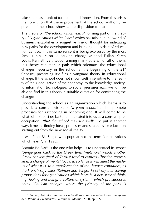take shape as a unit of formation and innovation. From this arises the conviction that the improvement of the school will only be possible if the school shows a pre-disposition to learn.

The theory of *"the school which learns"* forming part of the theory of *"organizations which learn"* which has arisen in the world of business, establishes a suggestive line of thought for indicating new paths for the development and bringing up to date of education centres. In this same sense it is being expressed by the most famous thinkers on educational change: Michael Fullan, Karen Louis, Kenneth Leithwood, among many others. For all of them, this theory can mark a path which orientates the educational changes necessary in the school at the beginning of the  $21<sup>st</sup>$ Century, presenting itself as a vanguard theory in educational change. If the school does not show itself insensitive to the reality of the globalization of the economy, to the knowledge society, to information technologies, to social pressures etc., we will be able to find in this theory a suitable direction for confronting the changes.

Understanding the school as an organization which learns is to provide a constant vision of *"a good school"* and to promote processes for succeeding in becoming one. It will come to be what John Baptist de La Salle inculcated into us as a constant preoccupation: *"that the school may run well"*. To put it another way, it means finding ideas, processes and strategies for education starting out from the new social reality.

It was Peter M. Senge who popularized the term "organizations which learn", in 1992.

Antonio Bolívar<sup>33</sup> is the one who helps us to understand its scope: *"Senge goes back to the Greek term 'metanoia' which another Greek convert (Paul of Tarsus) used to express Christian conversion: a change of mental focus, in so far as it will affect the nucleus of what it is, to a transformation of the 'human condition', as the French say. Later (Kofman and Senge, 1993) say that solving propositions for organizations which learn is 'a new way of thinking, feeling and being: a culture of system', which pre-supposes anew 'Galilean change', where the primacy of the parts is*

<sup>33</sup> Bolivar, Antonio, *Los centros educativos como organizaciones que aprenden. Promesa y realidades*, La Muralla, Madrid, 2000, pp. 222.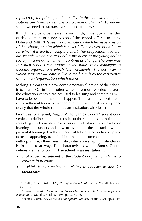*replaced by the primacy of the totality. In this context, the organizations are taken as vehicles for a general change"*. To understand, we need to put ourselves in front of a new school paradigm.

It might help us to be clearer in our minds, if we look at the idea of development or a new vision of the school, offered to us by Dalin and Rolff: *"We see the organization which learns as a vision of the schools, an aim which is never fully achieved, but a future for which it is worth making the effort. The proposition is to create schools which can respond to the needs of the young and of society in a world which is in continuous change. The only way in which schools can survive in the future is by managing to become organizations which learn creatively. The best way in which students will learn to live in the future is by the experience of life in an 'organization which learns"* 34.

Making it clear that a new complementary function of the school is to learn, Gairín<sup>35</sup> and other writers are more worried because the education centres are not used to learning and something will have to be done to make this happen. They are convinced that it is not sufficient for each teacher to learn. It will be absolutely necessary that the whole school as an institution, also learns.

From this focal point, Miguel Angel Santos Guerra<sup>36</sup> sees it convenient to define the characteristics of the school as an institution, so as to get to know its idiosyncrasies, understand its necessity for learning and understand how to overcome the obstacles which prevent it learning. For the school institution, a collection of paradoxes is appearing, full of critical meaning, some of them loaded with optimism, others pessimistic, which are shaping it structurally in a peculiar way. The characteristics which Santos Guerra defines are the following: **The school is an institution…**

- *…of forced recruitment of the student body which claims to educate in freedom.*
- *…which is hierarchical but claims to educate in and for democracy.*

<sup>34</sup> Dalin, P. and Rolff, H-G, *Changing the school culture*. Cassell, London, 1993, p. 19.

<sup>35</sup> Gairin, Joaquín, *La organización escolar como contexto y texto para la actuación*, La Muralla, Madrid, 1996, pp. 377-399.

<sup>36</sup> Santos Guerra, M.A. *La escuela que aprende*, Morata, Madrid, 2001, pp. 35-49.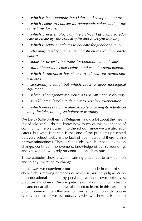- *…which is heteronomous but claims to develop autonomy.*
- *…which claims to educate for democratic values and, at the same time, for life.*
- *…which is epistemologically hierarchical but claims to educate in creativity, the critical spirit and divergent thinking.*
- *…which is sexist but claims to educate for gender equality.*
- *…claiming equality but maintaining structures which promote elitism.*
- *…looks for diversity but trains for common cultural skills.*
- *…full of impositions that claims to educate for participation.*
- *…which is uncritical but claims to educate for democratic demands.*
- *…apparently neutral but which hides a deep ideological argument.*
- *…which is homogenizing but claims to pay attention to diversity.*
- *…weakly articulated but claiming to develop co-operation.*
- *…which imposes a curriculum in spite of basing its activity on the principles of the psychology of learning.*

We De La Salle Brothers, as Religious, know a lot about the meaning of 'cloister'. I do not know how much of this experience of community life we transmit to the school, since we are also educators, but what is certain is that one of the problems presented by every school today is the lack of openness, and there is also narrow-mindedness. These are attitudes which impede taking on change, continual improvement, knowledge of our surroundings and knowing how to rely on contributions from outside.

These attitudes show a way of turning a deaf ear to any opinion and to any invitation to change.

In this way we experience our blinkered attitude in front of society which is making demands or which is passing judgments on our educational practice by persisting with our own objectives, practices and claims. We are quite clear that our function is teaching and not at all clear that we also need to learn, in this case from public opinion. From this position our tendency towards routine is fully justified. If we ask ourselves why we show resistance to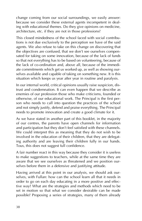change coming from our social surroundings, we easily answer: because we consider these external agents incompetent in dealing with educational themes. Do they give opinions on medicine, architecture, etc. if they are not in those professions?

This closed mindedness of the school faced with social contributions is not due exclusively to the perception we have of the said agents. We also refuse to take on this change on discovering that the objectives are confused, that we don't see ourselves compensated for taking on some innovation, because of the lack of funds so that not everything has to be based on volunteering, because of the lack of co-ordination and, above all, because of the immediate commitments which get us worked up, as well as showing ourselves available and capable of taking on something new. It is this situation which keeps us year after year in routine and paralysis.

In our internal world, critical opinions usually raise suspicion, distrust and condemnation. It can even happen that we describe as enemies of our profession those who make criticisms, founded or otherwise, of our educational work. The Principal is the first person who needs to call into question the practices of the school and not simply justify, defend and praise everything. The Principal needs to promote innovation and create a good climate for it.

As we have stated in another part of this booklet, in the majority of our centres, the parents have open channels for information and participation but they don't feel satisfied with these channels. We could interpret this as meaning that they do not wish to be involved in the education of their children, that they are delegating authority and are leaving their children fully in our hands. Tous, this does not suggest full confidence.

A fair number react in this way because they consider it is useless to make suggestions to teachers, while at the same time they are aware that we see ourselves as threatened and we position ourselves before them in a defensive and justifying attitude.

Having arrived at this point in our analysis, we should ask ourselves, with Fullan: how can the school learn all that it needs in order to go on each day educating in a more positive and effective way? What are the strategies and methods which need to be set in motion so that what we consider desirable can be made possible? Proposing a series of strategies, many of them already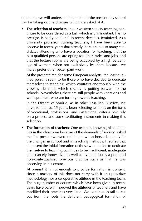operating, we will understand the methods the present-day school has for taking on the changes which are asked of it.

• **The selection of teachers**: In our western society teaching continues to be considered as a task which is unimportant, has no prestige, is badly paid and, in recent decades, feminized. As a university professor training teachers, I have been able to observe in recent years that already there are not so many candidates attending who have a vocation for teaching, that the best qualified persons are opting for other trades and jobs, and that the lecture rooms are being occupied by a high percentage of women, when not exclusively by them, because we males prefer other better-paid work.

At the present time, for some European analysts, the least qualified persons seem to be those who have decided to dedicate themselves to teaching, which contrasts enormously with the growing demands which society is putting forward to the schools. Nevertheless, there are still people with vocations and well-qualified, who are turning towards teaching.

In the District of Madrid, as in other Lasallian Districts, we have, for the last 15 years, been selecting teachers on the basis of vocational, professional and institutional criteria. We rely on a process and some facilitating instruments in making this selection.

• **The formation of teachers**: One teacher, knowing his difficulties in the classroom because of the demands of society, asked me if at present we were training new teachers adequately for the changes in school and in teaching methods. I replied that at present the initial formation of those who decide to dedicate themselves to teaching continues to be insufficient, inadequate and scarcely innovative, as well as trying to justify a poor and non-contextualized previous practice such as that he was observing in his centre.

At present it is not enough to provide formation in content, since a mastery of this does not carry with it an up-to-date methodology nor a co-operative attitude in the teaching team. The huge number of courses which have been given in recent years have barely improved the attitudes of teachers and have modified their practices very little. We continue to fail to cut out from the roots the deficient pedagogical formation of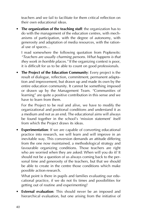teachers and we fail to facilitate for them critical reflection on their own educational ideas.

• **The organization of the teaching staff**: the organization has to do with the management of the education centres, with mechanisms of participation, with the degree of autonomy, with generosity and adaptation of media resources, with the rational use of spaces…

I read somewhere the following quotation from Popkewits: *"Teachers are usually charming persons. What happens is that they work in horrible places."* If the organizing context is poor, it is difficult for us to be able to count on good professionals.

• **The Project of the Education Community**: Every project is the result of dialogue, reflection, commitment, permanent adaptation and improvement, but drawn up and made its own by the entire education community. It cannot be something imposed or drawn up by the Management Team. "Communities of learning" are quite a positive contribution in this sense and we have to learn from them.

For the Project to be real and alive, we have to modify the organizational and positional conditions and understand it as a medium and not as an end. The educational aims will always be found together in the school's 'mission statement' itself from which the Project draws its ideas.

**Experimentation:** If we are capable of converting educational practice into research, we will learn and will improve in an inevitable way. This conversion demands an attitude differing from the one now maintained, a methodological strategy and favourable organizing conditions. Those teachers are right who are worried when they are asked: When will you do it? It should not be a question of us always coming back to the personal time and generosity of the teachers, but that we should be able to create in the centre those conditions which make possible action-research.

What point is there in pupils and families evaluating our educational practice, if we do not fix times and possibilities for getting out of routine and experimenting?

• **External evaluation**: This should never be an imposed and hierarchical evaluation, but one arising from the initiative of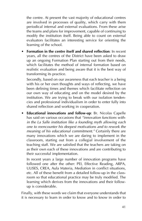the centre. At present the vast majority of educational centres are involved in processes of quality, which carry with them periodical internal and external evaluations. From these arise the teams and plans for improvement, capable of continuing to modify the institution itself. Being able to count on external evaluators facilitates an interesting service for orienting the learning of the school.

• **Formation in the centre itself and shared reflection**: In recent years, all the centres of the District have been asked to draw up an ongoing Formation Plan starting out from their needs, which facilitates the method of internal formation based on realistic evaluation and being aware that it is the best way of transforming its practice.

Secondly, based on our awareness that each teacher is a being with his or her own thoughts and ways of reflecting, we have been defining times and themes which facilitate reflection on our own way of educating and on the model desired by the institution. We are trying to break with our isolation tendencies and professional individualism in order to enter fully into shared reflection and working in cooperation.

• **Educational innovations and follow-up**: Br. Nicolas Capelle has said on various occasions that *"innovation functions within the La Salle institution like a founding myth allowing each one to reencounter his deepest motivations and to rework the meaning of his educational commitment."* Certainly there are many innovations which we are daring to implement in the classroom, starting out from a collegial involvement of the teaching staff. We are satisfied that the teachers are taking on as their own each of these innovations and are contributing to their successful implementation.

In recent years a large number of innovation programs have followed one after the other: PEI, Effective Reading, ARPA, ULISES, CREA, Aula Materia, Mediation in conflict situations, etc. All of these benefit from a detailed follow-up in the classroom so that educational practice may be truly modified. The learning which derives from the innovations and their followup is considerable.

Finally, with these words we claim that everyone understands that it is necessary to learn in order to know and to know in order to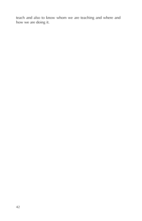teach and also to know whom we are teaching and where and how we are doing it.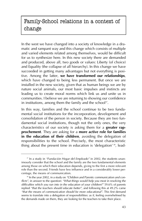# Family-School relations in a context of change

In the west we have changed into a society of knowledge in a dramatic and rampant way and this change which consists of multiple and varied elements related among themselves, would be difficult for us to synthesize here. In this new society there are demanded and produced, above all, two goods or values: Liberty (of choice) and Equality (the collapse of all hierarchy). In this change we have succeeded in getting many advantages but not everything is positive. Among the latter, **we have transformed our relationships**, which have changed to being less permanent. But once we are installed in the new society, given that as human beings we are by nature social animals, our most basic impulses and instincts are leading us to create moral norms which link us and unite us in communities. I believe we are returning to showing our confidence in institutions, among them the family and the school $37$ .

In this way, families and the school continue to be two fundamental social institutions for the incorporation, development and consolidation of the person in society. Because they are two fundamental social institutions, though not the only ones, the very characteristics of our society is asking them for a **greater rapprochement**. They are asking for a **more active role for families in the education of their children**, avoiding the delegation of responsibilities to the school. Precisely, the most characteristic thing about the present time in education is 'delegation' 38, lead-

<sup>&</sup>lt;sup>37</sup> In a study in *"Fundación Hogar del Empleado"* in 2002, the students unanimously consider that the school and the family are the two fundamental elements among those on which their education depends, giving to the first a more relevant role than the second. Friends have less influence and in a considerably lower percentage, the means of communication.

<sup>38</sup> In the year 2002, in a study on *"Children and Parents: communication and conflicts"*, in answer to the question: *"What things would help you most in resolving the difficulties which you run into in the education of your children?"* 59.6% of parents replied *"that the teachers should educate better"*, and following this at 49.2% came *"that the means of communication should be more educational"*. This first demand seems to translate into a delegation of responsibilities: as if, feeling overwhelmed by the demands made on them, they are looking for the teachers to take their place.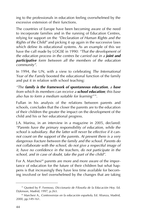ing to the professionals in education feeling overwhelmed by the excessive extension of their functions.

The countries of Europe have been becoming aware of the need to incorporate families and in the running of Education Centres, relying for support on the *"Declaration of Human Rights and the Rights of the Child"* and picking it up again in the successive laws which define its educational systems. As an example of this we have the call made by LOGSE in 1990: *"That the development of the education process in the centres be carried out in a joint and participative form between all the members of the education community"*.

In 1994, the UN, with a view to celebrating *The International Year of the Family* boosted the educational function of the family and put it in relation with school teaching:

*"The family is the framework of spontaneous education, a base from which its members can receive a school education; this base* also has to form a medium suitable for learning<sup>"39</sup>.

Fullan in his analysis of the relations between parents and schools, concludes that the closer the parents are to the education of their children the greater the impact on the development of the child and his or her educational progress.

J.A. Marina, in an interview in a magazine in 2005, declared: *"Parents have the primary responsibility of education, while the school is subsidiary. But the latter will never be effective if it cannot count on the support of the parents. At present there is a very dangerous fracture between the family and the school. Parents do not collaborate with the school, do not give a respectful image of it, have no confidence in the teachers, do not participate in the school, and in case of doubt, take the part of the child"*.

For A. Marchesi<sup>40</sup> parents are more and more aware of the importance of education for the future of their children but what happens is that increasingly they have less time available for becoming involved or feel overwhelmed by the changes that are taking

<sup>39</sup> Quoted by P. Fermoso, *Diccionario de Filosofía de la Educación Hoy*. Ed. Dykinson, Madrid, 1997, p.263.

<sup>40</sup> Marchesi A., *Controversias en la educación española*, Ed. Alianza, Madrid, 2000, pp.149-161.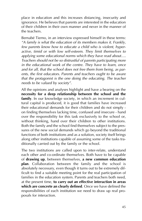place in education and this increases distancing, insecurity and ignorance. He believes that parents are interested in the education of their children in their own manner and never in the manner of the teachers.

Bernabé Tierno, in an interview expressed himself in these terms: *"A family is what the education of its members makes it. Frankly, few parents know how to educate a child who is violent, hyperactive, timid or with low self-esteem. They limit themselves to applying some educational norms which they have read about…. Teachers should not be so distrustful of parents participating more in the educational work of the centre. They have to learn, once and for all, that the school does not free them from being, as parents, the first educators. Parents and teachers ought to be aware that the protagonist is the one doing the educating. The teacher needs to be valued by society"*.

All the opinions and analyses highlight and have a bearing on the **necessity for a deep relationship between the school and the family**. In our knowledge society, in which an increment in cultural capital is produced, it is good that families have increased their educational demands for their children and do not simply on finding themselves lacking time, confused and insecure - hand over the responsibility for this task exclusively to the school or, without thinking, hand over their children to other institutions. Both the family and the school find themselves subject to the pressures of the new social demands which go beyond the traditional functions of both institutions and as a solution, society itself brings along other institutions capable of assuming some of the tasks traditionally carried out by the family or the school.

The two institutions are called upon to inter-relate, understand each other and co-ordinate themselves. Both have to be capable of **drawing up**, between themselves, **a new common education plan**. Collaboration between the family and the school is absolutely necessary, even though it turns out to be extremely difficult to find a suitable meeting point for the real participation of families in the education system. Parents and teachers both need, at the present time, **to carry out an effective interaction in areas which are concrete an clearly defined**. Once we have defined the responsibilities of each institution we need to draw up real proposals for interaction.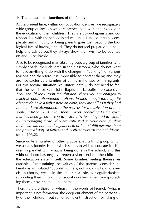#### **1o The educational functions of the family**

At the present time, within our Education Centres, we recognize a wide group of families who are preoccupied with and involved in the education of their children. They are co-protagonists and coresponsible with the school in education. It is noted that the complexity and difficulty of being parents goes well beyond the biological fact of having a child. They do not feel prepared but need help and advice but they always show their wish to be counted on and to be involved.

Also to be recognized is an absent group, a group of families who simply "park" their children in the classroom, who do not want to have anything to do with the changes in "parking" for various reasons and therefore it is impossible to contact them; and they are not exclusively families of ethnic minorities or immigrants. For this second situation we, unfortunately, do not need to feel that the words of Saint John Baptist de La Salle are excessive: *"You should look upon the children whom you are charged to teach as poor, abandoned orphans. In fact, though the majority of them do have a father here on earth, they are still as if they had none and are abandoned to themselves for the salvation of their souls…"* (Med.37.3). *"You then.... work according to the grace that has been given to you to instruct by teaching and to exhort by encouraging those who are entrusted to your care, guiding them with attention and vigilance, in order to fulfill towards them the principal duty of fathers and mothers towards their children"*. (Med. 193.2).

Since quite a number of other groups exist, a third group which we usually identify is that which seems to wish to educate its children in parallel with what is being done in the school, and this without doubt has negative repercussions on both the child and the education system itself. Some families, feeling themselves capable of transmitting the values of the parents, consider the family as an isolated "bubble". Others, not knowing how to exercise authority, create in the children a thirst for egalitarianism, supporting them in taking on social counter-values, over-protecting them or over-stimulating them.

Then there are those for whom, in the words of Freinet: "what is important is not formation, the deep enrichment of the personality of their children, but rather sufficient instruction for taking on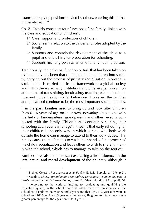exams, occupying positions envied by others, entering this or that university, etc." 41

Ch. Z. Cataldo considers four functions of the family, linked with the care and education of children $42$ :

- **1a** Care, support and protection of children.
- **2a** Socializes in relation to the values and roles adopted by the family.
- **3a** Supports and controls the development of the child as a pupil and offers him/her preparation for schooling.
- **4a** Supports his/her growth as an emotionally healthy person.

Traditionally, the principal function or task that has been taken on by the family has been that of integrating the children into society, carrying out the process of **primary socialization**. Nowadays, socialization is carried out in the framework of a global society and in this there are many institutions and diverse agents in action at the time of transmitting, inculcating, teaching elements of culture and guidelines for social behaviour. However, the families and the school continue to be the most important social contexts.

If in the past, families used to bring up and look after children from 0 - 6 years of age on their own, nowadays they do so with the help of kindergartens, grandparents and other persons connected with the family. Children are continually starting their schooling at an ever earlier age<sup>43</sup>. It seems that early schooling for their children is the only way in which parents who both work outside the home can manage to attend to their work duties. This reality causes some families to wash their hands of the process of the child's socialization and leads others to wish to share it, mainly with the school, which has to manage to take on the request.

Families have also come to start exercising a first **influence on the intellectual and moral development** of the children, although it

<sup>41</sup> Freinet, Célestin, *Por una escuela del Pueblo*, Ed.Laia, Barcelona, 1976, p.21.

<sup>42</sup> Cataldo, Ch.Z., *Aprendiendo a ser padres. Conceptos y contenidos para el diseño de programas de formación de padres*. Ed. Visor, Madrid, 1991, pp. 49-50.

<sup>&</sup>lt;sup>43</sup> According to the National Institute for evaluating and qualifying the Education System, in the school year 2001-2002 there was an increase in the schooling of children between 0 and 2 years and that 93% of 3 year olds were at school and 100% of 4 and 5 year olds. In France, Belgium and Italy there was a greater percentage for the ages from 0 to 3 years.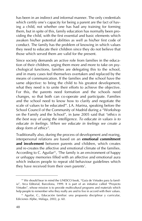has been in an indirect and informal manner. The only credentials which certify one's capacity for being a parent are the fact of having a child, not whether one has had any training for forming them, but in spite of this, family education has normally been providing the child, with the first essential and basic elements which awaken his/her potential abilities as well as his/her first code of conduct. The family has the problem of knowing in which values they need to educate their children since they do not believe that those which served them are valid for the present.

Since society demands an active role from families in the education of their children, urging them more and more to take on psychological functions, families are delegating this to the school, and in many cases feel themselves overtaken and replaced by the means of communication. If the families and the school have the same objective: to bring the child to his greatest development, what they need is to unite their efforts to achieve the objective. For this, the parents need formation and the schools need changes, so that both can co-operate and participate. Families and the school need to know how to clarify and negotiate the scale of values to be educated<sup>44</sup>. J.A. Marina, speaking before the School Council of the Community of Madrid during a "Workshop on the Family and the School", in June 2005 said that *"ethics is the best way of using the intelligence. To educate in values is to educate in feelings. When we educate in feelings we create a deep form of ethics"*.

Traditionally also, during the process of development and rearing, interpersonal relations are based on an **emotional commitment and involvement** between parents and children, which creates and re-creates the affective and emotional climate of the families. According to C. Aguilar<sup>45</sup>, 'The family is an environment of happy or unhappy memories filled with an affective and emotional aura which induces people to repeat old behaviour guidelines which they have received from their own parents'.

<sup>&</sup>lt;sup>44</sup> We should bear in mind the UNESCO book, "Guía de Virtudes para la familia", Arca Editorial, Barcelona, 1999. It is part of an initiative called "Proyecto Virtudes", whose mission is to provide multicultural programs and materials which help people to remember who they really are and to live in accord with their values.

<sup>45</sup> Aguilar, C., Educación familiar: una propuesta disciplinar y curricular, Ediciones Aljibe, Málaga, 2002, p. 60.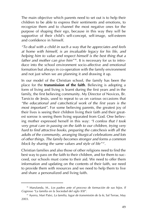The main objective which parents need to set out is to help their children to be able to express their sentiments and emotions, to recognize them and to channel the most negative ones for the purpose of shaping their ego, because in this way they will be supportive of their child's self-concept, self-image, self-esteem and confidence in himself.

*"To deal with a child in such a way that he appreciates and feels at home with himself, is an invaluable legacy for his life, and helping him to value and respect himself is the best thing that a father and mother can give him"* 46. It is necessary for us to introduce into the school environment socio-affective and emotional formation but always in co-operation with the family environment and not just when we are planning it and drawing it up.

In our model of the Christian school, the family has been the place for the **transmission of the faith**. Believing is adopting a form of living and living is learnt during the first years and in the family, the first believing community. My Director of Novices, Br. Tarsicio de Jesús, used to repeat to us on various occasions that *"the educational and catechetical work of the first years is the most important"*. For some believing parents, the greatest joy of their lives is seeing their children living their faith and their greatest sorrow is seeing them living separated from God. One believing mother expressed herself in this way: *"I confess that I took very great care in passing on the faith to our children, trying very hard to find attractive books, preparing the catechesis with all the adults of the community, arranging liturgical celebrations and lots of other things. The family becomes stronger and forms a common block by sharing the same values and style of life*"<sup>47</sup>.

Christian families and also those of other religions need to find the best way to pass on the faith to their children, and for them to succeed, our schools must come to their aid. We need to offer them information and updating on the contents of their faith, we need to provide them with resources and we need to help them to live and share a personalized and living faith.

<sup>46</sup> Marulanda, M., *Los padres ante el proceso de formación de sus hijos*. *Il Cogresso "La familia en la Sociedad del siglo XXI"*.

<sup>47</sup> Ayerra, Mari Patxi, *La familia, lugar de transmisión de la fe*, Sal Terrae, May 2003.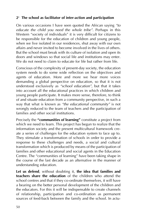#### **2o The school as facilitator of inter-action and participation**

On various occasions I have seen quoted the African saying *"to educate the child you need the whole tribe"*. Perhaps in this Western "society of individuals" it is very difficult for citizens to be responsible for the education of children and young people, when we live isolated in our residences, shut away with our own affairs and never invited to become involved in the lives of others. But the school must break with its culture of isolation and open its doors and windows so that social life and institutions may enter. We do not need to claim to educate for life but rather from life.

Conscious of the complexity of present-day society, the education system needs to do some wide reflection on the objectives and agents of education. More and more we hear more voices demanding a global perspective on education, so that it is not understood exclusively as *"school education"*, but that it takes into account all the educational practices in which children and young people participate. It makes more sense, therefore, to think of and situate education from a community perspective, in such a way that what is known as *"the educational community"* is not wrongly reduced to the team of teachers and the participation of families and other social institutions.

Precisely the **"communities of learning"** constitute a project from which we need to learn. This project has begun to realize that the information society and the present multicultural framework create a series of challenges for the education system to face up to. They stimulate a transformation of schools in order to provide a response to these challenges and needs, a social and cultural transformation which is produced by means of the participation of families and other educational and social agents in the Education Centre. The "communities of learning" have been taking shape in the course of the last decade as an alternative in the manner of understanding education.

**Let us defend**, without doubting it, **the idea that families and teachers share the education** of the children who attend the school centres and that if they co-ordinate themselves, it will have a bearing on the better personal development of the children and the educators. For this it will be indispensable to create channels of relationship, participation and co-ordination as permanent sources of feed-back between the family and the school. In actu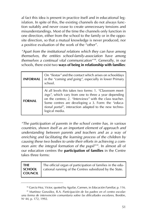al fact this idea is present in practice itself and in educational legislation. In spite of this, the existing channels do not always function suitably and never cease to create unnecessary tensions and misunderstandings. Most of the time the channels only function in one direction, either from the school to the family or in the opposite direction, so that a mutual knowledge is never produced, nor a positive evaluation of the work of the "other".

*"Apart from the institutional relations which they can have among themselves, the entities school-family-association have among themselves a continual vital communication"* 48. Generally, in our schools, there exist two **ways of being in relationship with families**:

| <b>INFORMAL</b> | On "fiestas" and the contact which arises on schooldays<br>in the "coming and going", especially in lower Primary<br>school.                                                                                                                                                                                 |
|-----------------|--------------------------------------------------------------------------------------------------------------------------------------------------------------------------------------------------------------------------------------------------------------------------------------------------------------|
| <b>FORMAL</b>   | At all levels this takes two forms: 1. "Classroom meet-<br>ings", which vary from one to three a year depending<br>on the centres; 2. "Interviews" with the class teacher.<br>Some centres are developing a 3. Form: the "educa-<br>tional portal", interaction adapted to the new techno-<br>logical media. |

*"The participation of parents in the school centre has, in various countries, shown itself as an important element of approach and understanding between parents and teachers and as a way of enriching and facilitating the learning process of the children by causing these two bodies to unite their efforts in achieving a common aim: the integral formation of the pupil<sup>"49</sup>. In almost all of* our education centres the **participation of families** in the Centre takes three forms:

| <b>THE</b><br><b>SCHOOL</b><br><b>COUNCIL</b> | The official organ of participation of families in the edu-<br>cational running of the Centres subsidized by the State. |
|-----------------------------------------------|-------------------------------------------------------------------------------------------------------------------------|
|-----------------------------------------------|-------------------------------------------------------------------------------------------------------------------------|

<sup>48</sup> García Hoz, Victor, quoted by Aguilar, Carmen, in *Educación Familiar*, p. 116.

<sup>49</sup> Martínez González, R.A. *Participación de los padres en el centro escolar: una forma de intervención comunitaria sobre las dificultades escolares*, Bordón, No 44, p. 172, 1992.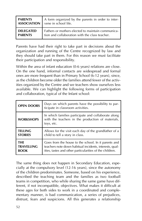| <b>PARENTS</b>     | A form organized by the parents in order to inter- |
|--------------------|----------------------------------------------------|
| <b>ASSOCIATION</b> | vene in school life.                               |
| <b>DELEGATED</b>   | Fathers or mothers elected to maintain communica-  |
| <b>PARENTS</b>     | tion and collaboration with the class teacher.     |

Parents have had their right to take part in decisions about the organization and running of the Centre recognized by law and they should take part in them. For this reason we must facilitate their participation and responsibility.

Within the area of infant education (0-6 years) relations are close. On the one hand, informal contacts are widespread and formal ones are more frequent than in Primary School (6-12 years), since, as the children become older the families attend fewer of the activities organized by the Centre and we teachers show ourselves less available. We can highlight the following forms of participation and collaboration, typical of the Infant school:

| <b>OPEN DOORS</b> | Days on which parents have the possibility to par-<br>ticipate in classroom activities.                                |
|-------------------|------------------------------------------------------------------------------------------------------------------------|
| <b>WORKSHOPS</b>  | In which families participate and collaborate along<br>with the teachers in the production of materials,<br>toys, etc. |
| <b>TELLING</b>    | Allows for the visit each day of the grandfather of a                                                                  |
| <b>STORIES</b>    | child to tell a story in class.                                                                                        |
| <b>THE</b>        | Goes from the house to the school. In it parents and                                                                   |
| <b>TRAVELLING</b> | teachers note down habitual incidents, interests, qual-                                                                |
| <b>BOOK</b>       | ities, tastes and other particularities of the children.                                                               |

The same thing does not happen in Secondary Education, especially at the compulsory level (12-16 years), since the autonomy of the children predominates. Someone, based on his experience, described the teaching team and the families as two football teams in competition, who while sharing the same game have different, if not incompatible, objectives. What makes it difficult at these ages for both sides to work in a coordinated and complementary manner, is bad communication, a series of prejudices, distrust, fears and suspicions. All this generates a relationship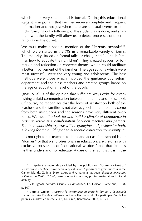which is not very sincere and is formal. During this educational stage it is important that families receive complete and frequent information and not just when there are unusual events or conflicts. Carrying out a follow-up of the student, as is done, and sharing it with the family will allow us to detect processes of deterioration from the outset.

We must make a special mention of the "Parents' schools"<sup>50</sup>, which were started in the 70s in a remarkable variety of forms. The majority, based on formal talks or chats, tried "to teach families how to educate their children". They created spaces for formation and reflection on concrete themes which could facilitate a better involvement of the families. The age sections which were most successful were the very young and adolescents. The best methods were those which involved the guidance counselors' department and the class teachers and created groups based on the age or educational level of the pupils.

Ignasi Vila $51$  is of the opinion that sufficient ways exist for establishing a fluid communication between the family and the school. Of course, he recognizes that the level of satisfaction both of the teachers and the families is not always good and complaints come from both institutions and the reasons have very different overtones. We need *"to look for and build a climate of confidence in order to arrive at a collaboration between teachers and parents. For the relationship to grow will be gratifying and positive for both,* allowing for the building of an authentic education community"<sup>52</sup>.

It is not right for us teachers to think and act as if the school is our "domain" or that we, professionals in education, are the ones with exclusive possession of "educational wisdom" and that families neither understand nor educate. Aware of the fact that it is in the

<sup>&</sup>lt;sup>50</sup> In Spain the materials provided by the publication "Padres y Maestros" *(Parents and Teachers)* have been very valuable. A program of great success in the Canary Islands, Galicia, Extremadura and Andalucía has been *"Escuela de Madres y Padres de Radio ECCA"*, based on radio courses, printed material and tutorial activity.

<sup>51</sup> Vila, Ignasi, *Familia, Escuela y Comunidad*, Ed. Horsori, Barcelona, 1998, p. 107.

<sup>52</sup> Various writers, *Construir la comunicación entre la familia y la escuela como una relación de confianza*, in the collective work "La participación de los padres y madres en la escuela ", Ed. Graó, Barcelona, 2003, p. 124.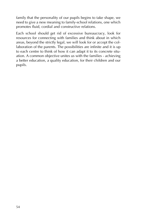family that the personality of our pupils begins to take shape, we need to give a new meaning to family-school relations, one which promotes fluid, cordial and constructive relations.

Each school should get rid of excessive bureaucracy, look for resources for connecting with families and think about in which areas, beyond the strictly legal, we will look for or accept the collaboration of the parents. The possibilities are infinite and it is up to each centre to think of how it can adapt it to its concrete situation. A common objective unites us with the families - achieving a better education, a quality education, for their children and our pupils.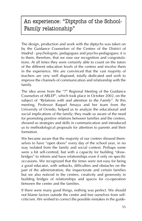# An experience: "Diptychs of the School-Family relationship"

The design, production and work with the diptychs was taken on by the Guidance Counselors of the Centres of the District of Madrid - psychologists, pedagogues and psycho-pedagogues; it is to them, therefore, that we owe our recognition and congratulations. At all times they were certainly able to count on the tutors of the different education levels of the centres and involve them in the experience. We are convinced that the vast majority of teachers are very well disposed, totally dedicated and wish to improve the channels of communication and relationship with the family.

The idea arose from the  $7<sup>th</sup>$  Regional Meeting of the Guidance Counselors of ARLEP", which took place in October 2002, on the subject of *"Relations with and attention to the Family"*. At this meeting, Professor Raquel Amaya and her team from the University of Oviedo, helped us to analyze the educational and social implications of the family; they made us aware of the need for promoting positive relations between families and the centres, showed us strategies and skills in communication and introduced us to methodological proposals for attention to parents and their formation.

We became aware that the majority of our centres showed themselves to have "open doors" every day of the school year, in no way isolated from the family and social context. Perhaps some were a bit self-centred, but with a capacity for building "drawbridges" to inform and have relationships even if only on specific occasions. We recognized that the times were not easy for being a good educator, with setbacks, difficulties and obstacles on the part of the administration, the inspectorate and certain families but we also noticed in the centres, creativity and generosity in building bridges of relationships and spaces for co-operation between the centre and the families.

If there were many good things, nothing was perfect. We should not blame factors outside the centre and free ourselves from selfcriticism. We wished to correct the possible mistakes in the guide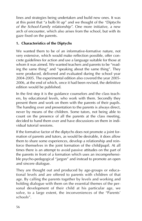lines and strategies being undertaken and build new ones. It was at this point that "a bulb lit up" and we thought of the *"Diptychs of the School-Family relationship"*. One more initiative, a new arch of encounter, which also arises from the school, but with its gaze fixed on the parents.

#### **1. Characteristics of the Diptychs**

We wanted them to be of an informative-formative nature, not very extensive, which would make reflection possible, offer concrete guidelines for action and use a language suitable for those at whom it was aimed. We wanted teachers and parents to be "reading the same thing" and "speaking about the same thing". They were produced, delivered and evaluated during the school year 2004-2005. The experimental edition also covered the year 2005- 2006, at the end of which, once it had been revised, the definitive edition would be published.

In the first step it is the guidance counselors and the class teachers, by educational levels, who work with them. Secondly they present them and work on them with the parents of their pupils. The handing over and presentation to the parents is always direct, never by means of the children. Some tutors, not being able to count on the presence of all the parents at the class meeting, decided to hand them over and have discussions on them in individual tutorial sessions.

If the formative factor of the diptychs does not promote a joint formation of parents and tutors, as would be desirable, it does allow them to share some experiences, develop a relationship and reinforce themselves in the joint formation of the child/pupil. At all times there is an attempt to avoid passive attitudes on the part of the parents in front of a formation which uses an incomprehensible psycho-pedagogical "jargon" and instead to promote an open and sincere dialogue.

They are thought out and produced by age-groups or educational levels and are offered to parents with children of that age. By calling the parents together by levels and working and holding dialogue with them on the essential themes of the personal development of their child at his particular age, we solve, to a large extent, the inconveniences of the "Parents' schools".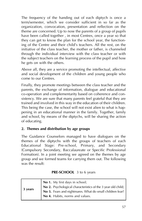The frequency of the handing out of each diptych is once a term/semester, which we consider sufficient in so far as the organization, convocation, presentation and reflection on the theme are concerned. Up to now the parents of a group of pupils have been called together , in most Centres, once a year so that they can get to know the plan for the school year, the functioning of the Centre and their child's teachers. All the rest, on the initiative of the class teacher, the mother or father, is channeled through the individual interview with the class teacher or with the subject teachers on the learning process of the pupil and how he gets on with the others.

Above all, they are a service promoting the intellectual, affective and social development of the children and young people who come to our Centres.

Finally, they promote meetings between the class teacher and the parents, the exchange of information, dialogue and educational co-operation and complementarity based on coherence and consistency. We are sure that many parents feel grateful that they are trained and involved in this way in the education of their children. This being the case, the school will not exist alien to what is happening in an educational manner in the family. Together, family and school, by means of the diptychs, will be sharing the action of educating.

#### **2. Themes and distribution by age groups**

The Guidance Counselors managed to have dialogues on the themes of the diptychs with the groups of teachers of each Educational Stage: Pre-school, Primary, and Secondary (Compulsory Secondary, Baccalaureate or Specific Professional Formation). In a joint meeting we agreed on the themes by age group and we formed teams for carrying them out. The following was the result:

#### **PRE-SCHOOL** 3 to 6 years

| 3 years | <b>No 1.</b> My first days in school;<br><b>No 2.</b> Psychological characteristics of the 3 year old child;<br><b>No 3.</b> Fears and nightmares. What do small children fear? |
|---------|---------------------------------------------------------------------------------------------------------------------------------------------------------------------------------|
|         |                                                                                                                                                                                 |
|         |                                                                                                                                                                                 |
|         | No 4. Habits, norms and values.                                                                                                                                                 |
|         |                                                                                                                                                                                 |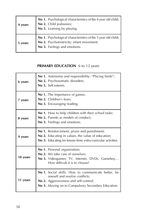| 4 years | No 1. Psychological characteristics of the 4 year old child;<br>No 2. Child jealousies;<br>No 3. Learning by playing.                                        |
|---------|--------------------------------------------------------------------------------------------------------------------------------------------------------------|
| 5 years | <b>No 1.</b> Psychological characteristics of the 5 year old child;<br><b>No 2.</b> Psychomotricity: infant movement;<br><b>No 3.</b> Feelings and emotions. |

## **PRIMARY EDUCATION** 6 to 12 years

| 6 years  | No 1. Autonomy and responsibility: "Placing limits";<br>No 2. Psychosomatic disorders;<br>No 3. Self esteem.                                                                                              |
|----------|-----------------------------------------------------------------------------------------------------------------------------------------------------------------------------------------------------------|
| 7 years  | <b>No 1.</b> The importance of games;<br>No 2. Children's fears;<br>No 3. Encouraging reading.                                                                                                            |
| 8 years  | No 1. How to help children with their school tasks;<br><b>No 2.</b> Parents as models of conduct;<br>No 3. Feelings and emotions.                                                                         |
| 9 years  | <b>No 1.</b> Reinforcement, prizes and punishment;<br>No 2. Educating in values, the value of education;<br><b>No 3.</b> Educating for leisure time; extra-curricular activities.                         |
| 10 years | No 1. Personal organization;<br><b>No 2.</b> We take care of ourselves:<br>No 3. Videogames: TV, Internet, DVDs, Gameboy<br>How difficult it is to choose!                                                |
| 11 years | <b>No 1.</b> Social skills. How to communicate better, be<br>oneself and resolve conflicts:<br><b>No 2.</b> Aggressiveness and self-control;<br><b>No 3.</b> Moving on to Compulsory Secondary Education. |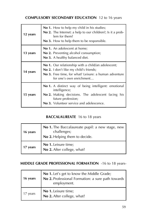#### **COMPULSORY SECONDARY EDUCATION** 12 to 16 years

| 12 years | No 1. How to help my child in his studies;<br><b>No 2.</b> The Internet: a help to our children?; Is it a prob-<br>lem for them?<br><b>No 3.</b> How to help them to be responsible.                       |
|----------|------------------------------------------------------------------------------------------------------------------------------------------------------------------------------------------------------------|
| 13 years | <b>No 1.</b> An adolescent at home:<br><b>No 2.</b> Preventing alcohol consumption;<br><b>No 3.</b> A healthy balanced diet.                                                                               |
| 14 years | <b>No 1.</b> Our relationship with a child/an adolescent;<br>No 2. I don't like my child's friends;<br>No 3. Free time, for what? Leisure: a human adventure<br>for one's own enrichment                   |
| 15 years | <b>No 1.</b> A distinct way of being intelligent: emotional<br>intelligence;<br><b>No 2.</b> Making decisions. The adolescent facing his<br>future profession;<br>No 3. Volunteer service and adolescence. |

#### **BACCALAUREATE** 16 to 18 years

| 16 years | No 1. The Baccalaureate pupil: a new stage, new<br>challenges;<br>No 2. Helping them to decide. |
|----------|-------------------------------------------------------------------------------------------------|
| 17 years | No 1. Leisure time;<br>No 2. After college, what?                                               |

## **MIDDLE GRADE PROFESSIONAL FORMATION** -16 to 18 years-

| 16 years | No 1. Let's get to know the Middle Grade;<br>No 2. Professional Formation: a sure path towards<br>employment. |
|----------|---------------------------------------------------------------------------------------------------------------|
| 17 years | No 1. Leisure time;<br>No 2. After college, what?                                                             |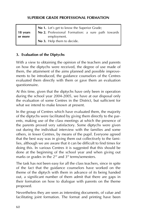#### **SUPERIOR GRADE PROFESSIONAL FORMATION**

|            | No 1. Let's get to know the Superior Grade;       |
|------------|---------------------------------------------------|
| $18$ years | No 2. Professional Formation: a sure path towards |
| or more    | employment.                                       |
|            | No 3. Help them to decide.                        |

#### **3. Evaluation of the Diptychs**

With a view to obtaining the opinion of the teachers and parents on how the diptychs were received, the degree of use made of them, the attainment of the aims planned and possible improvements to be introduced, the guidance counselors of the Centres evaluated them directly with them or gave them an evaluation questionnaire.

At this time, given that the diptychs have only been in operation during the school year 2004-2005, we have at our disposal only the evaluation of some Centres in the District, but sufficient for what we intend to make known at present.

In the group of Centres which have evaluated them, the majority of the diptychs were facilitated by giving them directly to the parents, making use of the class meetings at which the presence of the parents proved very satisfactory. Some diptychs were given out during the individual interview with the families and some others, in fewer Centres, by means of the pupil. Everyone agreed that the best way was in giving them out collectively to the families, although we are aware that it can be difficult to find times for doing this. In various Centres it is suggested that this should be done at the beginning of the school year and when giving out marks or grades in the  $2^{nd}$  and  $3^{rd}$  terms/semesters.

The task has not been easy for all the class teachers, since in spite of the fact that the guidance counselors have worked on the theme of the diptych with them in advance of its being handed out, a significant number of them admit that there are gaps in their formation on how to dialogue with parents on the theme proposed.

Nevertheless they are seen as interesting documents, of value and facilitating joint formation. The format and printing have been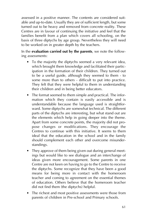assessed in a positive manner. The contents are considered suitable and up-to-date. Usually they are of sufficient length, but some turned out to be heavy and removed from concrete reality. These Centres are in favour of continuing the initiative and feel that the families benefit from a plan which covers all schooling, on the basis of three diptychs by age group. Nevertheless they will need to be worked on in greater depth by the teachers.

In the **evaluation carried out by the parents**, we note the following assessments:

- To the majority the diptychs seemed a very relevant idea, which brought them knowledge and facilitated their participation in the formation of their children. They turned out to be a useful guide, although they seemed to them - to some more than to others - difficult to put into practice. They felt that they were helpful to them in understanding their children and in being better educators.
- The format seemed to them simple and practical. The information which they contain is easily accessible and is understandable because the language used is straightforward. Some diptychs are somewhat technical. The different parts of the diptychs are interesting, but what stand out are the elements which help in going deeper into the theme. Apart from some concrete points, the majority did not propose changes or modifications. They encourage the Centres to continue with this initiative. It seems to them ideal that the education in the school and in the family should complement each other and overcome misunderstandings.
- They approve of them being given out during general meetings but would like to see dialogue and an interchange of ideas given more encouragement. Some parents in one Centre are not keen on having to go to the Centre to receive the diptychs. Some recognize that they have been a good means for being more in contact with the homeroom teacher and coming to agreement on the essential themes of education. Others believe that the homeroom teacher did not find them (the diptychs) helpful.
- The richest and most positive assessments were those from parents of children in Pre-school and Primary schools.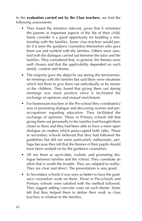In the **evaluation carried out by the Class teachers**, we find the following assessments:

- They found the initiative relevant, given that it orientates the parents in important aspects of the life of their child. Some consider it a good opportunity for building a relationship with the families. Some class teachers would prefer if it were the guidance counselors themselves who gave them out and worked with the families. Others were satisfied with the dialogue carried out between the tutor and the families. They considered that, in general, the themes were well chosen and that the applicability depended on each family, context and theme.
- The majority gave the diptychs out during the term/semester meetings with the families but said there were situations which led them to give them out individually or by means of the children. They found that giving them out during meetings was more positive since it facilitated the exchange of opinions and mutual enrichment.
- For homeroom teachers in the Pre-school they constituted a way of promoting dialogue and discussing worries and preoccupations regarding education. They facilitated the exchange of opinions. Those in Primary schools felt that giving them out personally to the families had brought them closer to them and they had been able to have a more open dialogue on matters which preoccupied both sides. Those in secondary schools believed that they had followed the guidelines but did not seem particularly enthusiastic, perhaps because they felt that the themes of their pupils should have been worked on by the guidance counselors.
- All see them as up-to-date, realistic and promoting dialogue between families and the school. They constitute an effort that is worth the trouble. They are adapted to reality. They are clear and direct. The presentation is very good.
- In Secondary schools it was seen as better to have the guidance counselors work on them. Those in Pre-schools and Primary schools were satisfied with the method followed. They suggest adding concrete cases on each theme. Some felt that they helped them to define their work as class teachers in relation to the families.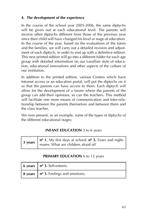#### **4. The development of the experience**

In the course of the school year 2005-2006, the same diptychs will be given out at each educational level. The parents will receive other diptychs different from those of the previous year since their child will have changed his level or stage of education. In the course of the year, based on the evaluations of the tutors and the families, we will carry out a detailed revision and adjustment of each diptych, in order to end up with a definitive edition. This new printed edition will go into a different folder for each age group with detailed information on our Lasallian style of education, educational innovations and other aspects of the culture of our institution.

In addition to the printed edition, various Centres which have Intranet access or an education portal, will put the diptychs on it so that the parents can have access to them. Each diptych will allow for the development of a forum where the parents of the group can add their opinions, as can the teachers. This method will facilitate one more means of communication and inter-relationship between the parents themselves and between them and the class teacher.

We now present, as an example, some of the types of diptychs of the different educational stages:

## **INFANT EDUCATION** 3 to 6 years

#### **PRIMARY EDUCATION** 6 to 12 years

| 6 years $\mid n^{\circ}$ 3. Self-esteem.                |
|---------------------------------------------------------|
| 8 years $\mid$ n <sup>o</sup> 3. Feelings and emotions. |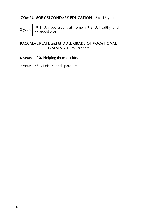#### **COMPULSORY SECONDARY EDUCATION** 12 to 16 years

|  | 13 years $\begin{bmatrix} n^{\circ} & 1 \\ 1 & 1 \end{bmatrix}$ . An adolescent at home; $n^{\circ}$ 3. A healthy and balanced diet. |
|--|--------------------------------------------------------------------------------------------------------------------------------------|
|  |                                                                                                                                      |

#### **BACCALAUREATE and MIDDLE GRADE OF VOCATIONAL TRAINING** 16 to 18 years

| 16 years $n^2$ 2. Helping them decide.            |
|---------------------------------------------------|
| 17 years $ n^{\circ} 1$ . Leisure and spare time. |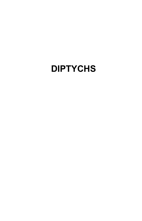# **DIPTYCHS**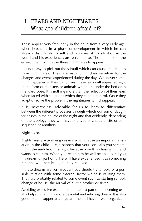# 1. FEARS AND NIGHTMARES What are children afraid of?

These appear very frequently in the child from a very early age, when he/she is in a phase of development in which he can already distinguish his self and is aware of his situation in the world and his experiences are very intense. The influence of the environment will cause these nightmares to appear.

It is not easy to pick out the stimuli which can cause the child to have nightmares. They are usually children sensitive to the changes and events experienced during the day. Whenever something happened in their daily lives, these fears will appear at night in the form of monsters or animals which are under the bed or in the wardrobes. It is nothing more than the reflection of their fears when faced with situations which they cannot control. Once they adapt or solve the problem, the nightmares will disappear.

It is, nevertheless, advisable for us to learn to differentiate between the different processes through which our son or daughter passes in the course of the night and that evidently, depending on the typology, they will have one type of characteristic or consequence or anothers.

#### **Nightmares**

Nightmares are terrifying dreams which cause an important alteration in the child. It can happen that your son calls you screaming in the middle of the night because a wolf is chasing him and wants to eat him. When you reach him he will be able to tell you his dream or part of it. He will have experienced it as something real and will then feel genuinely relieved.

If these dreams are very frequent you should try to look for a possible relation with some external factor which is causing them. They are probably related to some event such as starting school, change of house, the arrival of a little brother or sister…

Avoiding excessive excitement in the last part of the evening usually helps in having a more peaceful and relaxing dream. It is also good to take supper at a regular time and have it well organized.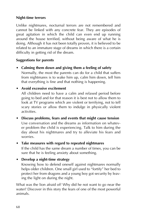#### **Night-time terrors**

Unlike nightmares, nocturnal terrors are not remembered and cannot be linked with any concrete fear. They are episodes of great agitation in which the child can even end up running around the house terrified, without being aware of what he is doing. Although it has not been totally proven, it is believed to be related to an immature stage of dreams in which there is a certain difficulty in getting rid of the dream.

#### **Suggestions for parents**

• **Calming them down and giving them a feeling of safety** Normally, the most the parents can do for a child that suffers from nightmares is to wake him up, calm him down, tell him that everything is fine and that nothing is happening.

#### • **Avoid excessive excitement**

All children need to have a calm and relaxed period before going to bed and for that reason it is best not to allow them to look at TV programs which are violent or terrifying, not to tell scary stories or allow them to indulge in physically violent activities.

• **Discuss problems, fears and events that might cause tension** Use conversation and the dreams as information on whatever problem the child is experiencing. Talk to him during the day about his nightmares and try to alleviate his fears and worries.

#### • **Take measures with regard to repeated nightmares**

If the child has the same dream a number of times, you can be sure that he is feeling anxiety about something.

#### • **Develop a night-time strategy**

Knowing how to defend oneself against nightmares normally helps older children. One small girl used to "fortify" her bed to protect her from dragons and a young boy got security by leaving the light on during the night.

What was the lion afraid of? Why did he not want to go near the water? Discover in this story the fears of one of the most powerful animals.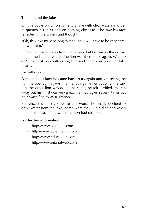#### **The lion and the lake**

On one occasion, a lion came to a lake with clear waters in order to quench his thirst and on coming closer to it he saw his face reflected in the waters and thought:

"Oh, this lake must belong to that lion. I will have to be very careful with him."

In fear he moved away from the waters, but he was so thirsty that he returned after a while. The lion was there once again. What to do? His thirst was suffocating him and there was no other lake nearby.

He withdrew.

Some minutes later he came back to try again and, on seeing the lion, he opened his jaws in a menacing manner but when he saw that the other lion was doing the same, he felt terrified. He ran away but his thirst was very great. He tried again several times but he always fled away frightened.

But since his thirst got worse and worse, he finally decided to drink water from the lake, come what may. He did so and when he put his head in the water the lion had disappeared!

#### **For further information**

- http://www.solohijos.com
- http://www.aulainfantil.com
- http://www.educaguia.com
- http://www.infantilweb.com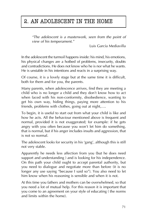## 2. AN ADOLESCENT IN THE HOME

*"The adolescent is a masterwork, seen from the point of view of his temperament."*

Luis García Mediavilla

In the adolescent the turmoil happens inside: his mind, his emotions, his physical changes are a hotbed of problems, insecurity, doubts and contradictions. He does not know who he is nor what he wants. He is unstable in his intentions and reacts in a surprising way.

Of course, it is a lovely stage but at the same time it is difficult, both for them and for you, the parents.

Many parents, when adolescence arrives, find they are meeting a child who is no longer a child and they don't know how to act when faced with his non-conformity, disobedience, wanting to get his own way, hiding things, paying more attention to his friends, problems with clothes, going out at night,….

To begin, it is useful to start out from what your child is like and how he acts. All the behaviour mentioned above is frequent and normal, provided it is not exaggerated; for example: if he gets angry with you often because you won't let him do something, that is normal, but if his anger includes insults and aggression, that is not so normal.

The adolescent looks for security in his 'gang', although this is still not very stable.

Apparently he needs less affection from you (but he does need support and understanding ) and is looking for his independence. On this path your child ought to accept parental authority, but you need to dialogue and negotiate more than before (it is no longer any use saying "because I said so"). You also need to let him know when his reasoning is sensible and when it is not.

At this time you fathers and mothers can be overwhelmed, so that you need a lot of mutual help. For this reason it is important that you come to an agreement on your style of educating ( the norms and limits within the home).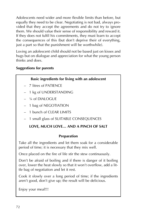Adolescents need wider and more flexible limits than before, but equally they need to be clear. Negotiating is not bad, always provided that they accept the agreements and do not try to ignore them. We should value their sense of responsibility and reward it. If they does not fulfil his commitments, they must learn to accept the consequences of this (but don't deprive their of everything, just a part so that the punishment will be worthwhile).

Loving an adolescent child should not be based just on kisses and hugs but on dialogue and appreciation for what the young person thinks and does.

#### **Suggestions for parents**

#### **Basic ingredients for living with an adolescent**

- 7 litres of PATIENCE
- 1 kg of UNDERSTANDING
- ¼ of DIALOGUE
- 1 bag of NEGOTIATION
- 1 bunch of CLEAR LIMITS
- 1 small glass of SUITABLE CONSEQUENCES

#### **LOVE, MUCH LOVE… AND A PINCH OF SALT**

#### **Preparation**

Take all the ingredients and let them soak for a considerable period of time; it is necessary that they mix well.

Once placed on the fire of life stir the stew continuously.

Don't be afraid of boiling and if there is danger of it boiling over, lower the heat slowly so that it won't overflow, add a little bag of negotiation and let it rest.

Cook it slowly over a long period of time; if the ingredients aren't good, don't give up; the result will be delicious.

Enjoy your meal!!!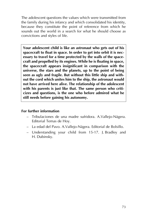The adolescent questions the values which were transmitted from the family during his infancy and which consolidated his identity, because they constitute the point of reference from which he sounds out the world in a search for what he should choose as convictions and styles of life.

**Your adolescent child is like an astronaut who gets out of his spacecraft to float in space. In order to get into orbit it is necessary to travel for a time protected by the walls of the spacecraft and propelled by its engines. While he is floating in space, the spacecraft appears insignificant in comparison with the universe, the stars and the planets, up to the point of being seen as ugly and fragile. But without this little ship and without the cord which unites him to the ship, the astronaut would not have arrived here alive. The relationship of the adolescent with his parents is just like that. The same person who criticizes and questions, is the one who before admired what he still needs before gaining his autonomy.**

#### **For further information**

- Tribulaciones de una madre sufridora. A.Vallejo-Nágera. Editorial Temas de Hoy.
- La edad del Pavo. A.Vallejo-Nágera. Editorial de Bolsillo.
- Understanding your child from 15-17. J. Bradley and H. Dubinsky.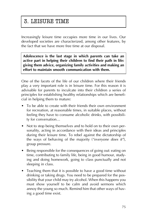# 3. LEISURE TIME

Increasingly leisure time occupies more time in our lives. Our developed societies are characterized, among other features, by the fact that we have more free time at our disposal.

**Adolescence is the last stage in which parents can take an active part in helping their children to find their path in life: giving them advice, organizing family activities and making an effort to maintain smooth communication with them.**

One of the facets of the life of our children where their friends play a very important role is in leisure time. For this reason it is advisable for parents to inculcate into their children a series of principles for establishing healthy relationships which are beneficial in helping them to mature:

- To be able to create with their friends their own environment for recreation, at reasonable times, in suitable places, without feeling they have to consume alcoholic drinks, with possibility for conversation…
- Not to stop being themselves and to hold on to their own personality, acting in accordance with their ideas and principles during their leisure time. To rebel against the dictatorship of the ways of behaving of the majority (*"everyone does it"*), group pressure.
- Being responsible for the consequences of going out: eating on time, contributing to family life, being in good humour, studying and doing homework, going to class punctually and not sleeping in class.
- Teaching them that it is possible to have a good time without drinking or taking drugs. You need to be prepared for the possibility that your child may try alcohol. When this happens you must show yourself to be calm and avoid sermons which annoy the young so much. Remind him that other ways of having a good time exist.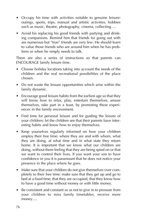- Occupy his time with activities suitable to genuine leisure: outings, sports, trips, manual and artistic activities, hobbies such as music, theatre, photography, cinema, collecting….
- Avoid his replacing his good friends with partying and drinking companions. Remind him that friends for going out with are numerous but "true" friends are very few. He should learn to value those friends who are around him when he has problems or when he simply needs to talk.

There are also a series of instructions so that parents can ENCOURAGE family leisure time.

- Choose holiday locations taking into account the needs of the children and the real recreational possibilities of the place chosen.
- Do not waste the leisure opportunities which arise within the family dynamic.
- Encourage good leisure habits from the earliest age so that they will know how to relax, play, entertain themselves, amuse themselves, take part in a feast, by promoting these experiences in the family environment.
- Find time for personal leisure and for guiding the leisure of your children; let the children see that their parents have interesting habits and know how to enjoy themselves.
- Keep yourselves regularly informed on how your children employ their free time: where they are and with whom, what they are doing, at what time and in what state they return home. It is important that we know what our children are doing, without them feeling that they are being spied on or that we want to control their lives. If you want your son to have confidence in you it is paramount that he does not notice your presence in the place where he goes.
- Make sure that your children do not give themselves over completely to their free time: make sure that they get up and go to bed at a fixed time, that they are occupied, that they know how to have a good time without money or with little money.
- Be consistent and constant so as not to give in to pressure from your children to miss family timetables, receive more money….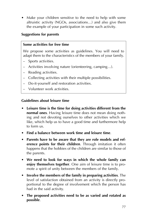• Make your children sensitive to the need to help with some altruistic activity (NGOs, associations…) and also give them the example of your participation in some such activity.

#### **Suggestions for parents**

#### **Some activities for free time**

We propose some activities as guidelines. You will need to adapt them to the characteristics of the members of your family.

- Sports activities.
- Activities involving nature (orienteering, camping…).
- Reading activities.
- Collecting activities with their multiple possibilities.
- Do-it-yourself and restoration activities.
- Volunteer work activities.

#### **Guidelines about leisure time**

- **Leisure time is the time for doing activities different from the normal ones**. Having leisure time does not mean doing nothing and not devoting ourselves to other activities which we like, which help us to have a good time and furthermore help to form us.
- **Find a balance between work time and leisure time**.
- **Parents have to be aware that they are role models and reference points for their children**. Through imitation it often happens that the hobbies of the children are similar to those of the parents.
- **We need to look for ways in which the whole family can enjoy themselves together**. One aim of leisure time is to promote a spirit of unity between the members of the family.
- **Involve the members of the family in preparing activities**. The level of satisfaction obtained from an activity is directly proportional to the degree of involvement which the person has had in the said activity.
- **The proposed activities need to be as varied and rotated as possible**.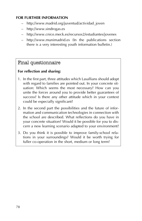#### **FOR FURTHER INFORMATION**

- http://www.madrid.org/juventud/actividad\_joven
- http://www.sindrogas.es
- http://www.cnice.meck.es/recursos2/estudiantes/jovenes
- http://www.munimadrid.es (In the publications section there is a very interesting youth information bulletin.)

## Final questionnaire

#### **For reflection and sharing:**

- 1. In the first part, three attitudes which Lasallians should adopt with regard to families are pointed out. In your concrete situation: Which seems the most necessary? How can you unite the forces around you to provide better guarantees of success? Is there any other attitude which in your context could be especially significant?
- 2. In the second part the possibilities and the future of information and communication technologies in connection with the school are described. What reflections do you have in your concrete situation? Would it be possible for you to discern a new learning scenario adapted to your environment?
- 3. Do you think it is possible to improve family-school relations in your surroundings? Would it be worth trying for fuller co-operation in the short, medium or long term?